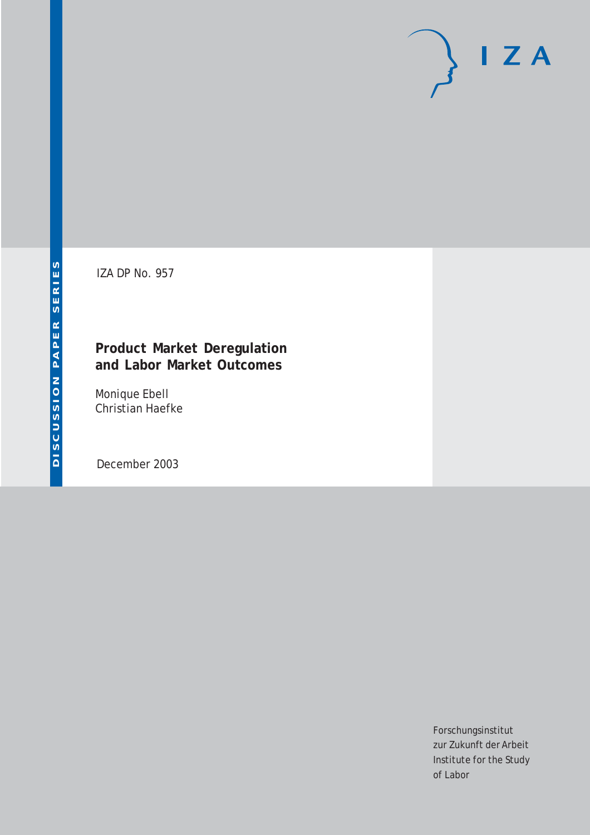# $I Z A$

IZA DP No. 957

# **Product Market Deregulation and Labor Market Outcomes**

Monique Ebell Christian Haefke

December 2003

Forschungsinstitut zur Zukunft der Arbeit Institute for the Study of Labor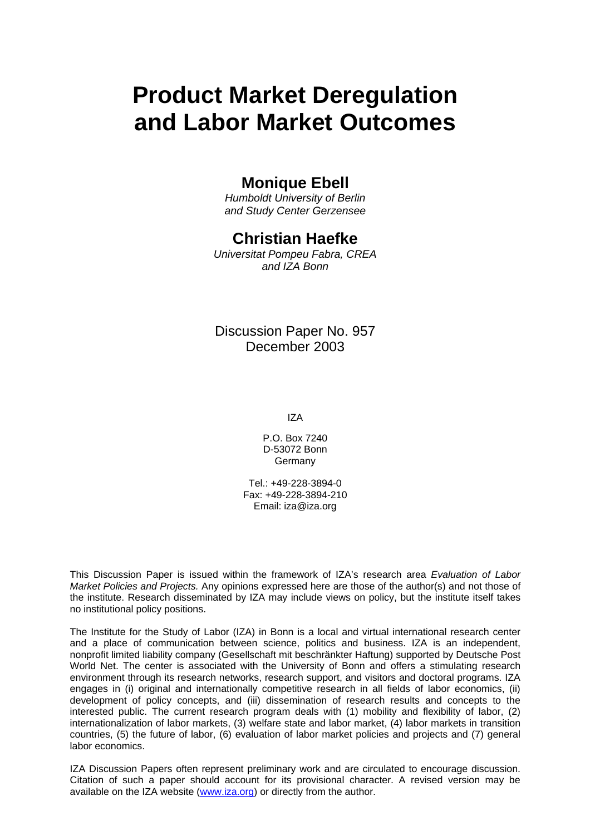# **Product Market Deregulation and Labor Market Outcomes**

# **Monique Ebell**

*Humboldt University of Berlin and Study Center Gerzensee* 

# **Christian Haefke**

*Universitat Pompeu Fabra, CREA and IZA Bonn* 

Discussion Paper No. 957 December 2003

IZA

P.O. Box 7240 D-53072 Bonn **Germany** 

Tel.: +49-228-3894-0 Fax: +49-228-3894-210 Email: [iza@iza.org](mailto:iza@iza.org)

This Discussion Paper is issued within the framework of IZA's research area *Evaluation of Labor Market Policies and Projects.* Any opinions expressed here are those of the author(s) and not those of the institute. Research disseminated by IZA may include views on policy, but the institute itself takes no institutional policy positions.

The Institute for the Study of Labor (IZA) in Bonn is a local and virtual international research center and a place of communication between science, politics and business. IZA is an independent, nonprofit limited liability company (Gesellschaft mit beschränkter Haftung) supported by Deutsche Post World Net. The center is associated with the University of Bonn and offers a stimulating research environment through its research networks, research support, and visitors and doctoral programs. IZA engages in (i) original and internationally competitive research in all fields of labor economics, (ii) development of policy concepts, and (iii) dissemination of research results and concepts to the interested public. The current research program deals with (1) mobility and flexibility of labor, (2) internationalization of labor markets, (3) welfare state and labor market, (4) labor markets in transition countries, (5) the future of labor, (6) evaluation of labor market policies and projects and (7) general labor economics.

IZA Discussion Papers often represent preliminary work and are circulated to encourage discussion. Citation of such a paper should account for its provisional character. A revised version may be available on the IZA website ([www.iza.org](http://www.iza.org/)) or directly from the author.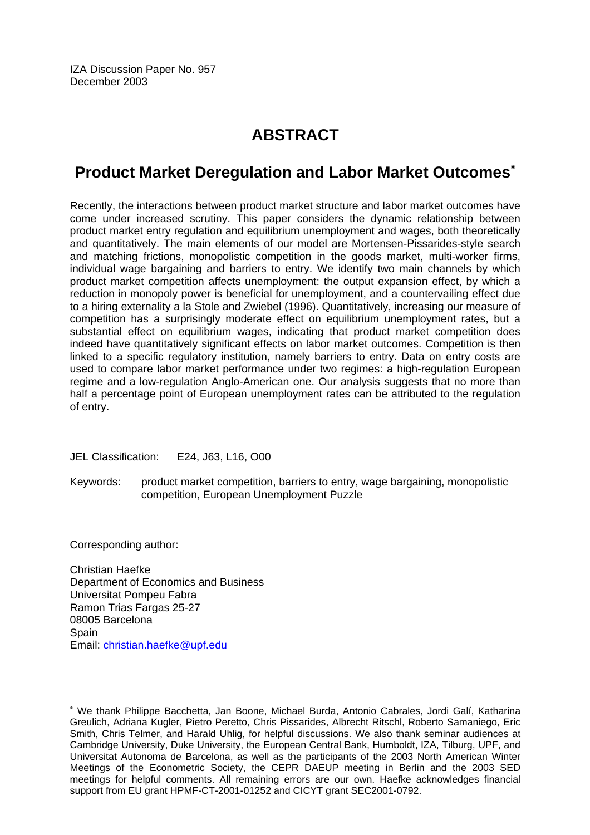IZA Discussion Paper No. 957 December 2003

# **ABSTRACT**

# **Product Market Deregulation and Labor Market Outcomes**[∗](#page-2-0)

Recently, the interactions between product market structure and labor market outcomes have come under increased scrutiny. This paper considers the dynamic relationship between product market entry regulation and equilibrium unemployment and wages, both theoretically and quantitatively. The main elements of our model are Mortensen-Pissarides-style search and matching frictions, monopolistic competition in the goods market, multi-worker firms, individual wage bargaining and barriers to entry. We identify two main channels by which product market competition affects unemployment: the output expansion effect, by which a reduction in monopoly power is beneficial for unemployment, and a countervailing effect due to a hiring externality a la Stole and Zwiebel (1996). Quantitatively, increasing our measure of competition has a surprisingly moderate effect on equilibrium unemployment rates, but a substantial effect on equilibrium wages, indicating that product market competition does indeed have quantitatively significant effects on labor market outcomes. Competition is then linked to a specific regulatory institution, namely barriers to entry. Data on entry costs are used to compare labor market performance under two regimes: a high-regulation European regime and a low-regulation Anglo-American one. Our analysis suggests that no more than half a percentage point of European unemployment rates can be attributed to the regulation of entry.

JEL Classification: E24, J63, L16, O00

Keywords: product market competition, barriers to entry, wage bargaining, monopolistic competition, European Unemployment Puzzle

Corresponding author:

Christian Haefke Department of Economics and Business Universitat Pompeu Fabra Ramon Trias Fargas 25-27 08005 Barcelona **Spain** Email: [christian.haefke@upf.edu](mailto:christian.haefke@upf.edu)

<span id="page-2-0"></span><sup>∗</sup> We thank Philippe Bacchetta, Jan Boone, Michael Burda, Antonio Cabrales, Jordi Galí, Katharina Greulich, Adriana Kugler, Pietro Peretto, Chris Pissarides, Albrecht Ritschl, Roberto Samaniego, Eric Smith, Chris Telmer, and Harald Uhlig, for helpful discussions. We also thank seminar audiences at Cambridge University, Duke University, the European Central Bank, Humboldt, IZA, Tilburg, UPF, and Universitat Autonoma de Barcelona, as well as the participants of the 2003 North American Winter Meetings of the Econometric Society, the CEPR DAEUP meeting in Berlin and the 2003 SED meetings for helpful comments. All remaining errors are our own. Haefke acknowledges financial support from EU grant HPMF-CT-2001-01252 and CICYT grant SEC2001-0792.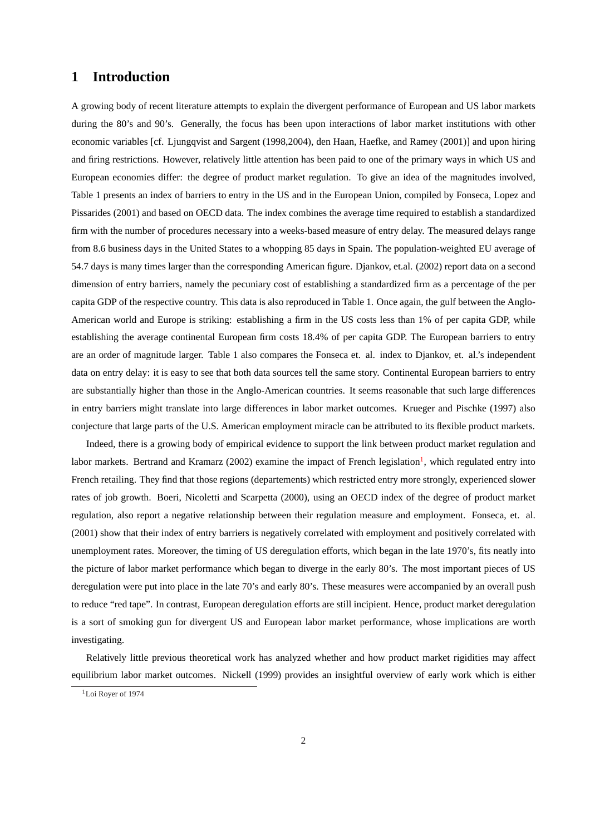## **1 Introduction**

A growing body of recent literature attempts to explain the divergent performance of European and US labor markets during the 80's and 90's. Generally, the focus has been upon interactions of labor market institutions with other economic variables [cf. Ljungqvist and Sargent (1998,2004), den Haan, Haefke, and Ramey (2001)] and upon hiring and firing restrictions. However, relatively little attention has been paid to one of the primary ways in which US and European economies differ: the degree of product market regulation. To give an idea of the magnitudes involved, Table 1 presents an index of barriers to entry in the US and in the European Union, compiled by Fonseca, Lopez and Pissarides (2001) and based on OECD data. The index combines the average time required to establish a standardized firm with the number of procedures necessary into a weeks-based measure of entry delay. The measured delays range from 8.6 business days in the United States to a whopping 85 days in Spain. The population-weighted EU average of 54.7 days is many times larger than the corresponding American figure. Djankov, et.al. (2002) report data on a second dimension of entry barriers, namely the pecuniary cost of establishing a standardized firm as a percentage of the per capita GDP of the respective country. This data is also reproduced in Table 1. Once again, the gulf between the Anglo-American world and Europe is striking: establishing a firm in the US costs less than 1% of per capita GDP, while establishing the average continental European firm costs 18.4% of per capita GDP. The European barriers to entry are an order of magnitude larger. Table 1 also compares the Fonseca et. al. index to Djankov, et. al.'s independent data on entry delay: it is easy to see that both data sources tell the same story. Continental European barriers to entry are substantially higher than those in the Anglo-American countries. It seems reasonable that such large differences in entry barriers might translate into large differences in labor market outcomes. Krueger and Pischke (1997) also conjecture that large parts of the U.S. American employment miracle can be attributed to its flexible product markets.

Indeed, there is a growing body of empirical evidence to support the link between product market regulation and labor markets. Bertrand and Kramarz (2002) examine the impact of French legislation<sup>1</sup>, which regulated entry into French retailing. They find that those regions (departements) which restricted entry more strongly, experienced slower rates of job growth. Boeri, Nicoletti and Scarpetta (2000), using an OECD index of the degree of product market regulation, also report a negative relationship between their regulation measure and employment. Fonseca, et. al. (2001) show that their index of entry barriers is negatively correlated with employment and positively correlated with unemployment rates. Moreover, the timing of US deregulation efforts, which began in the late 1970's, fits neatly into the picture of labor market performance which began to diverge in the early 80's. The most important pieces of US deregulation were put into place in the late 70's and early 80's. These measures were accompanied by an overall push to reduce "red tape". In contrast, European deregulation efforts are still incipient. Hence, product market deregulation is a sort of smoking gun for divergent US and European labor market performance, whose implications are worth investigating.

Relatively little previous theoretical work has analyzed whether and how product market rigidities may affect equilibrium labor market outcomes. Nickell (1999) provides an insightful overview of early work which is either

<sup>&</sup>lt;sup>1</sup>Loi Royer of 1974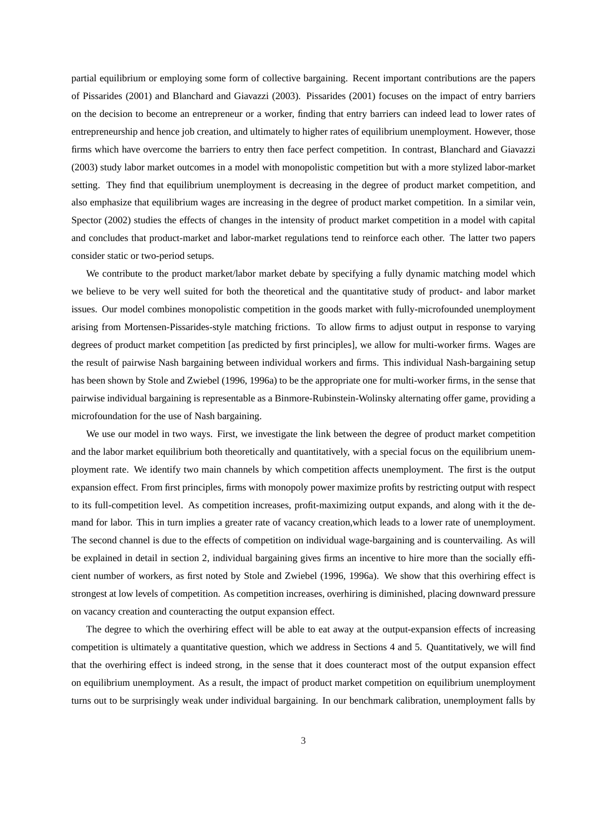partial equilibrium or employing some form of collective bargaining. Recent important contributions are the papers of Pissarides (2001) and Blanchard and Giavazzi (2003). Pissarides (2001) focuses on the impact of entry barriers on the decision to become an entrepreneur or a worker, finding that entry barriers can indeed lead to lower rates of entrepreneurship and hence job creation, and ultimately to higher rates of equilibrium unemployment. However, those firms which have overcome the barriers to entry then face perfect competition. In contrast, Blanchard and Giavazzi (2003) study labor market outcomes in a model with monopolistic competition but with a more stylized labor-market setting. They find that equilibrium unemployment is decreasing in the degree of product market competition, and also emphasize that equilibrium wages are increasing in the degree of product market competition. In a similar vein, Spector (2002) studies the effects of changes in the intensity of product market competition in a model with capital and concludes that product-market and labor-market regulations tend to reinforce each other. The latter two papers consider static or two-period setups.

We contribute to the product market/labor market debate by specifying a fully dynamic matching model which we believe to be very well suited for both the theoretical and the quantitative study of product- and labor market issues. Our model combines monopolistic competition in the goods market with fully-microfounded unemployment arising from Mortensen-Pissarides-style matching frictions. To allow firms to adjust output in response to varying degrees of product market competition [as predicted by first principles], we allow for multi-worker firms. Wages are the result of pairwise Nash bargaining between individual workers and firms. This individual Nash-bargaining setup has been shown by Stole and Zwiebel (1996, 1996a) to be the appropriate one for multi-worker firms, in the sense that pairwise individual bargaining is representable as a Binmore-Rubinstein-Wolinsky alternating offer game, providing a microfoundation for the use of Nash bargaining.

We use our model in two ways. First, we investigate the link between the degree of product market competition and the labor market equilibrium both theoretically and quantitatively, with a special focus on the equilibrium unemployment rate. We identify two main channels by which competition affects unemployment. The first is the output expansion effect. From first principles, firms with monopoly power maximize profits by restricting output with respect to its full-competition level. As competition increases, profit-maximizing output expands, and along with it the demand for labor. This in turn implies a greater rate of vacancy creation,which leads to a lower rate of unemployment. The second channel is due to the effects of competition on individual wage-bargaining and is countervailing. As will be explained in detail in section 2, individual bargaining gives firms an incentive to hire more than the socially efficient number of workers, as first noted by Stole and Zwiebel (1996, 1996a). We show that this overhiring effect is strongest at low levels of competition. As competition increases, overhiring is diminished, placing downward pressure on vacancy creation and counteracting the output expansion effect.

The degree to which the overhiring effect will be able to eat away at the output-expansion effects of increasing competition is ultimately a quantitative question, which we address in Sections 4 and 5. Quantitatively, we will find that the overhiring effect is indeed strong, in the sense that it does counteract most of the output expansion effect on equilibrium unemployment. As a result, the impact of product market competition on equilibrium unemployment turns out to be surprisingly weak under individual bargaining. In our benchmark calibration, unemployment falls by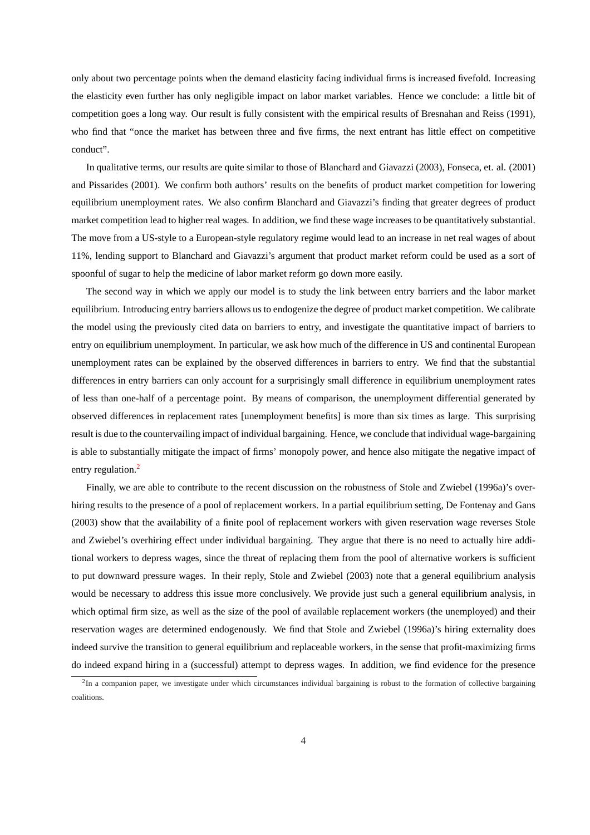only about two percentage points when the demand elasticity facing individual firms is increased fivefold. Increasing the elasticity even further has only negligible impact on labor market variables. Hence we conclude: a little bit of competition goes a long way. Our result is fully consistent with the empirical results of Bresnahan and Reiss (1991), who find that "once the market has between three and five firms, the next entrant has little effect on competitive conduct".

In qualitative terms, our results are quite similar to those of Blanchard and Giavazzi (2003), Fonseca, et. al. (2001) and Pissarides (2001). We confirm both authors' results on the benefits of product market competition for lowering equilibrium unemployment rates. We also confirm Blanchard and Giavazzi's finding that greater degrees of product market competition lead to higher real wages. In addition, we find these wage increases to be quantitatively substantial. The move from a US-style to a European-style regulatory regime would lead to an increase in net real wages of about 11%, lending support to Blanchard and Giavazzi's argument that product market reform could be used as a sort of spoonful of sugar to help the medicine of labor market reform go down more easily.

The second way in which we apply our model is to study the link between entry barriers and the labor market equilibrium. Introducing entry barriers allows us to endogenize the degree of product market competition. We calibrate the model using the previously cited data on barriers to entry, and investigate the quantitative impact of barriers to entry on equilibrium unemployment. In particular, we ask how much of the difference in US and continental European unemployment rates can be explained by the observed differences in barriers to entry. We find that the substantial differences in entry barriers can only account for a surprisingly small difference in equilibrium unemployment rates of less than one-half of a percentage point. By means of comparison, the unemployment differential generated by observed differences in replacement rates [unemployment benefits] is more than six times as large. This surprising result is due to the countervailing impact of individual bargaining. Hence, we conclude that individual wage-bargaining is able to substantially mitigate the impact of firms' monopoly power, and hence also mitigate the negative impact of entry regulation.<sup>2</sup>

Finally, we are able to contribute to the recent discussion on the robustness of Stole and Zwiebel (1996a)'s overhiring results to the presence of a pool of replacement workers. In a partial equilibrium setting, De Fontenay and Gans (2003) show that the availability of a finite pool of replacement workers with given reservation wage reverses Stole and Zwiebel's overhiring effect under individual bargaining. They argue that there is no need to actually hire additional workers to depress wages, since the threat of replacing them from the pool of alternative workers is sufficient to put downward pressure wages. In their reply, Stole and Zwiebel (2003) note that a general equilibrium analysis would be necessary to address this issue more conclusively. We provide just such a general equilibrium analysis, in which optimal firm size, as well as the size of the pool of available replacement workers (the unemployed) and their reservation wages are determined endogenously. We find that Stole and Zwiebel (1996a)'s hiring externality does indeed survive the transition to general equilibrium and replaceable workers, in the sense that profit-maximizing firms do indeed expand hiring in a (successful) attempt to depress wages. In addition, we find evidence for the presence

 ${}^{2}$ In a companion paper, we investigate under which circumstances individual bargaining is robust to the formation of collective bargaining coalitions.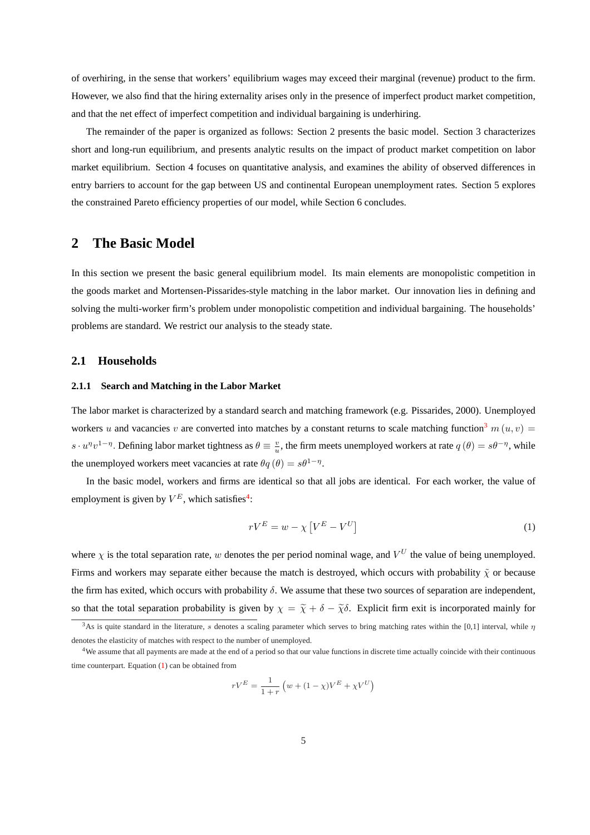<span id="page-6-0"></span>of overhiring, in the sense that workers' equilibrium wages may exceed their marginal (revenue) product to the firm. However, we also find that the hiring externality arises only in the presence of imperfect product market competition, and that the net effect of imperfect competition and individual bargaining is underhiring.

The remainder of the paper is organized as follows: Section 2 presents the basic model. Section 3 characterizes short and long-run equilibrium, and presents analytic results on the impact of product market competition on labor market equilibrium. Section 4 focuses on quantitative analysis, and examines the ability of observed differences in entry barriers to account for the gap between US and continental European unemployment rates. Section 5 explores the constrained Pareto efficiency properties of our model, while Section 6 concludes.

## **2 The Basic Model**

In this section we present the basic general equilibrium model. Its main elements are monopolistic competition in the goods market and Mortensen-Pissarides-style matching in the labor market. Our innovation lies in defining and solving the multi-worker firm's problem under monopolistic competition and individual bargaining. The households' problems are standard. We restrict our analysis to the steady state.

#### **2.1 Households**

#### **2.1.1 Search and Matching in the Labor Market**

The labor market is characterized by a standard search and matching framework (e.g. Pissarides, 2000). Unemployed workers u and vacancies v are converted into matches by a constant returns to scale matching function<sup>3</sup> m (u, v) =  $s \cdot u^{\eta}v^{1-\eta}$ . Defining labor market tightness as  $\theta \equiv \frac{v}{u}$ , the firm meets unemployed workers at rate  $q(\theta) = s\theta^{-\eta}$ , while the unemployed workers meet vacancies at rate  $\theta q(\theta) = s\theta^{1-\eta}$ .

In the basic model, workers and firms are identical so that all jobs are identical. For each worker, the value of employment is given by  $V^E$ , which satisfies<sup>4</sup>:

$$
rV^{E} = w - \chi \left[ V^{E} - V^{U} \right] \tag{1}
$$

where  $\chi$  is the total separation rate, w denotes the per period nominal wage, and  $V^U$  the value of being unemployed. Firms and workers may separate either because the match is destroyed, which occurs with probability  $\tilde{\chi}$  or because the firm has exited, which occurs with probability  $\delta$ . We assume that these two sources of separation are independent, so that the total separation probability is given by  $\chi = \tilde{\chi} + \delta - \tilde{\chi}\delta$ . Explicit firm exit is incorporated mainly for

$$
rV^{E} = \frac{1}{1+r} \left( w + (1 - \chi)V^{E} + \chi V^{U} \right)
$$

<sup>&</sup>lt;sup>3</sup>As is quite standard in the literature, s denotes a scaling parameter which serves to bring matching rates within the [0,1] interval, while  $\eta$ denotes the elasticity of matches with respect to the number of unemployed.

 $4W$ e assume that all payments are made at the end of a period so that our value functions in discrete time actually coincide with their continuous time counterpart. Equation (1) can be obtained from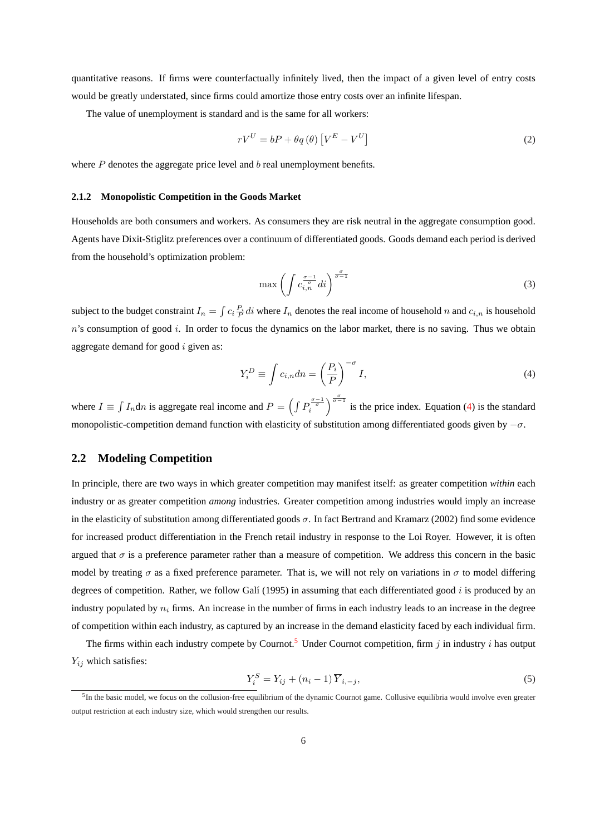<span id="page-7-0"></span>quantitative reasons. If firms were counterfactually infinitely lived, then the impact of a given level of entry costs would be greatly understated, since firms could amortize those entry costs over an infinite lifespan.

The value of unemployment is standard and is the same for all workers:

$$
rV^{U} = bP + \theta q(\theta) \left[ V^{E} - V^{U} \right]
$$
 (2)

where  $P$  denotes the aggregate price level and  $b$  real unemployment benefits.

#### **2.1.2 Monopolistic Competition in the Goods Market**

Households are both consumers and workers. As consumers they are risk neutral in the aggregate consumption good. Agents have Dixit-Stiglitz preferences over a continuum of differentiated goods. Goods demand each period is derived from the household's optimization problem:

$$
\max\left(\int c_{i,n}^{\frac{\sigma-1}{\sigma}} di\right)^{\frac{\sigma}{\sigma-1}}\tag{3}
$$

subject to the budget constraint  $I_n =$ R  $c_i \frac{P_i}{P} di$  where  $I_n$  denotes the real income of household n and  $c_{i,n}$  is household  $n$ 's consumption of good i. In order to focus the dynamics on the labor market, there is no saving. Thus we obtain aggregate demand for good  $i$  given as:

$$
Y_i^D \equiv \int c_{i,n} dn = \left(\frac{P_i}{P}\right)^{-\sigma} I,\tag{4}
$$

where  $I \equiv$ R  $I_n$ dn is aggregate real income and  $P =$  $\overline{R}$  $P_i^{\frac{\sigma-1}{\sigma}}$  $\int_{0}^{\frac{\sigma}{\sigma-1}}$  is the price index. Equation (4) is the standard monopolistic-competition demand function with elasticity of substitution among differentiated goods given by  $-\sigma$ .

#### **2.2 Modeling Competition**

In principle, there are two ways in which greater competition may manifest itself: as greater competition *within* each industry or as greater competition *among* industries. Greater competition among industries would imply an increase in the elasticity of substitution among differentiated goods  $\sigma$ . In fact Bertrand and Kramarz (2002) find some evidence for increased product differentiation in the French retail industry in response to the Loi Royer. However, it is often argued that  $\sigma$  is a preference parameter rather than a measure of competition. We address this concern in the basic model by treating  $\sigma$  as a fixed preference parameter. That is, we will not rely on variations in  $\sigma$  to model differing degrees of competition. Rather, we follow Galí (1995) in assuming that each differentiated good  $i$  is produced by an industry populated by  $n_i$  firms. An increase in the number of firms in each industry leads to an increase in the degree of competition within each industry, as captured by an increase in the demand elasticity faced by each individual firm.

The firms within each industry compete by Cournot.<sup>5</sup> Under Cournot competition, firm j in industry i has output  $Y_{ij}$  which satisfies:

$$
Y_i^S = Y_{ij} + (n_i - 1)\overline{Y}_{i, -j},\tag{5}
$$

<sup>&</sup>lt;sup>5</sup>In the basic model, we focus on the collusion-free equilibrium of the dynamic Cournot game. Collusive equilibria would involve even greater output restriction at each industry size, which would strengthen our results.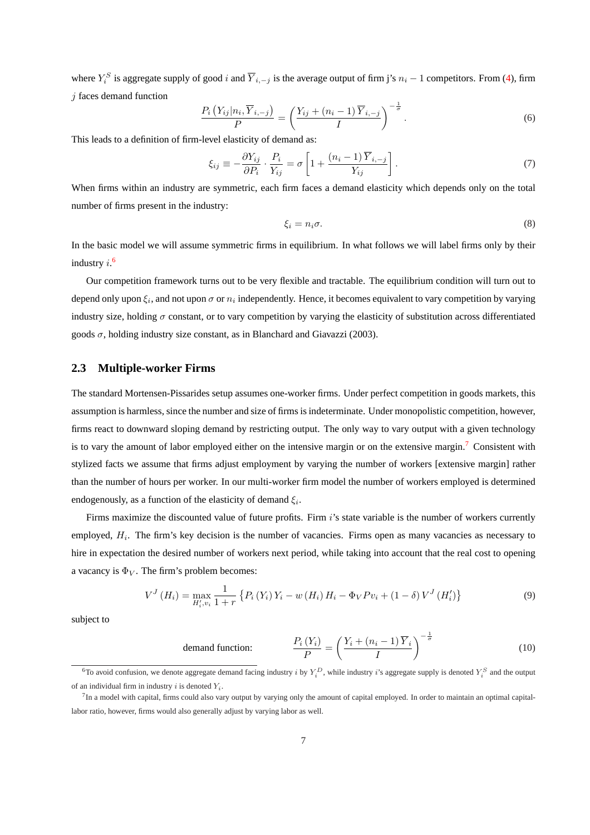<span id="page-8-0"></span>where  $Y_i^S$  is aggregate supply of good i and  $\overline{Y}_{i,-j}$  is the average output of firm j's  $n_i - 1$  competitors. From [\(4\)](#page-7-0), firm  $i$  faces demand function

$$
\frac{P_i\left(Y_{ij}|n_i,\overline{Y}_{i,-j}\right)}{P} = \left(\frac{Y_{ij} + (n_i - 1)\,\overline{Y}_{i,-j}}{I}\right)^{-\frac{1}{\sigma}}.\tag{6}
$$

This leads to a definition of firm-level elasticity of demand as:

$$
\xi_{ij} \equiv -\frac{\partial Y_{ij}}{\partial P_i} \cdot \frac{P_i}{Y_{ij}} = \sigma \left[ 1 + \frac{(n_i - 1)\overline{Y}_{i, -j}}{Y_{ij}} \right].
$$
\n(7)

When firms within an industry are symmetric, each firm faces a demand elasticity which depends only on the total number of firms present in the industry:

$$
\xi_i = n_i \sigma. \tag{8}
$$

In the basic model we will assume symmetric firms in equilibrium. In what follows we will label firms only by their industry  $i$ .<sup>6</sup>

Our competition framework turns out to be very flexible and tractable. The equilibrium condition will turn out to depend only upon  $\xi_i$ , and not upon  $\sigma$  or  $n_i$  independently. Hence, it becomes equivalent to vary competition by varying industry size, holding  $\sigma$  constant, or to vary competition by varying the elasticity of substitution across differentiated goods  $\sigma$ , holding industry size constant, as in Blanchard and Giavazzi (2003).

#### **2.3 Multiple-worker Firms**

The standard Mortensen-Pissarides setup assumes one-worker firms. Under perfect competition in goods markets, this assumption is harmless, since the number and size of firms is indeterminate. Under monopolistic competition, however, firms react to downward sloping demand by restricting output. The only way to vary output with a given technology is to vary the amount of labor employed either on the intensive margin or on the extensive margin.<sup>7</sup> Consistent with stylized facts we assume that firms adjust employment by varying the number of workers [extensive margin] rather than the number of hours per worker. In our multi-worker firm model the number of workers employed is determined endogenously, as a function of the elasticity of demand  $\xi_i$ .

Firms maximize the discounted value of future profits. Firm i's state variable is the number of workers currently employed,  $H_i$ . The firm's key decision is the number of vacancies. Firms open as many vacancies as necessary to hire in expectation the desired number of workers next period, while taking into account that the real cost to opening a vacancy is  $\Phi_V$ . The firm's problem becomes:

$$
V^{J}(H_{i}) = \max_{H'_{i}, v_{i}} \frac{1}{1+r} \left\{ P_{i}(Y_{i}) Y_{i} - w(H_{i}) H_{i} - \Phi_{V} P v_{i} + (1-\delta) V^{J}(H'_{i}) \right\}
$$
(9)

subject to

$$
\text{ demand function:} \qquad \qquad \frac{P_i\left(Y_i\right)}{P} = \left(\frac{Y_i + \left(n_i - 1\right)\overline{Y}_i}{I}\right)^{-\frac{1}{\sigma}} \tag{10}
$$

<sup>&</sup>lt;sup>6</sup>To avoid confusion, we denote aggregate demand facing industry *i* by  $Y_i^D$ , while industry *i*'s aggregate supply is denoted  $Y_i^S$  and the output of an individual firm in industry i is denoted  $Y_i$ .

 $^{7}$ In a model with capital, firms could also vary output by varying only the amount of capital employed. In order to maintain an optimal capitallabor ratio, however, firms would also generally adjust by varying labor as well.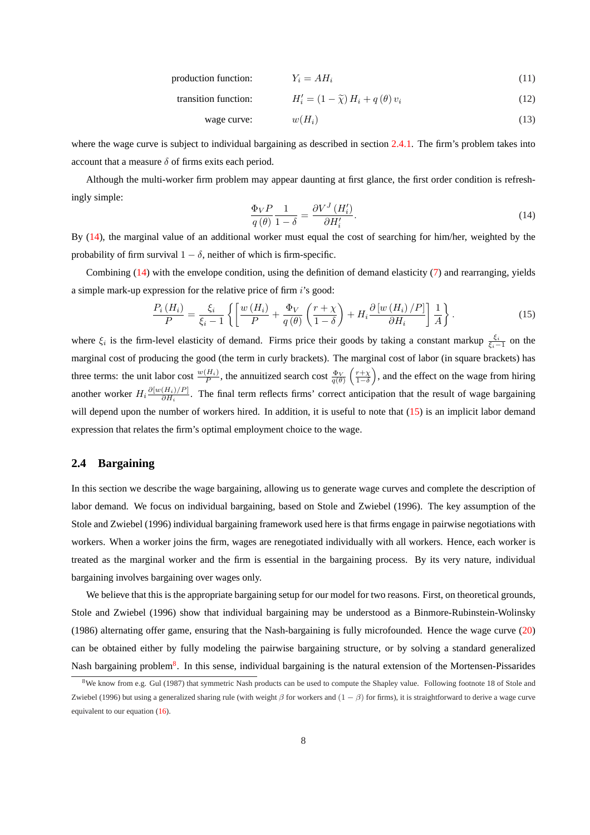$$
production function: \t Y_i = AH_i \t(11)
$$

transition function: 
$$
H'_{i} = (1 - \tilde{\chi}) H_{i} + q(\theta) v_{i}
$$
 (12)

$$
wage curve: \t w(H_i) \t(13)
$$

<span id="page-9-0"></span>where the wage curve is subject to individual bargaining as described in section [2.4.1.](#page-10-0) The firm's problem takes into account that a measure  $\delta$  of firms exits each period.

Although the multi-worker firm problem may appear daunting at first glance, the first order condition is refreshingly simple:

$$
\frac{\Phi_V P}{q(\theta)} \frac{1}{1 - \delta} = \frac{\partial V^J (H_i')}{\partial H_i'}.
$$
\n(14)

By (14), the marginal value of an additional worker must equal the cost of searching for him/her, weighted by the probability of firm survival  $1 - \delta$ , neither of which is firm-specific.

Combining (14) with the envelope condition, using the definition of demand elasticity [\(7\)](#page-8-0) and rearranging, yields a simple mark-up expression for the relative price of firm  $i$ 's good:

$$
\frac{P_i(H_i)}{P} = \frac{\xi_i}{\xi_i - 1} \left\{ \left[ \frac{w(H_i)}{P} + \frac{\Phi_V}{q(\theta)} \left( \frac{r + \chi}{1 - \delta} \right) + H_i \frac{\partial \left[ w(H_i)/P \right]}{\partial H_i} \right] \frac{1}{A} \right\}.
$$
\n(15)

where  $\xi_i$  is the firm-level elasticity of demand. Firms price their goods by taking a constant markup  $\frac{\xi_i}{\xi_i-1}$  on the marginal cost of producing the good (the term in curly brackets). The marginal cost of labor (in square brackets) has three terms: the unit labor cost  $\frac{w(H_i)}{P}$ , the annuitized search cost  $\frac{\Phi_V}{q(\theta)}$  $\left(\frac{r+\chi}{1-\delta}\right)$ ...<br>` , and the effect on the wage from hiring another worker  $H_i \frac{\partial [w(H_i)/P]}{\partial H_i}$  $\frac{(H_i)/[P]}{\partial H_i}$ . The final term reflects firms' correct anticipation that the result of wage bargaining will depend upon the number of workers hired. In addition, it is useful to note that (15) is an implicit labor demand expression that relates the firm's optimal employment choice to the wage.

#### **2.4 Bargaining**

In this section we describe the wage bargaining, allowing us to generate wage curves and complete the description of labor demand. We focus on individual bargaining, based on Stole and Zwiebel (1996). The key assumption of the Stole and Zwiebel (1996) individual bargaining framework used here is that firms engage in pairwise negotiations with workers. When a worker joins the firm, wages are renegotiated individually with all workers. Hence, each worker is treated as the marginal worker and the firm is essential in the bargaining process. By its very nature, individual bargaining involves bargaining over wages only.

We believe that this is the appropriate bargaining setup for our model for two reasons. First, on theoretical grounds, Stole and Zwiebel (1996) show that individual bargaining may be understood as a Binmore-Rubinstein-Wolinsky (1986) alternating offer game, ensuring that the Nash-bargaining is fully microfounded. Hence the wage curve [\(20\)](#page-10-0) can be obtained either by fully modeling the pairwise bargaining structure, or by solving a standard generalized Nash bargaining problem<sup>8</sup>. In this sense, individual bargaining is the natural extension of the Mortensen-Pissarides

<sup>&</sup>lt;sup>8</sup>We know from e.g. Gul (1987) that symmetric Nash products can be used to compute the Shapley value. Following footnote 18 of Stole and Zwiebel (1996) but using a generalized sharing rule (with weight  $\beta$  for workers and  $(1 - \beta)$  for firms), it is straightforward to derive a wage curve equivalent to our equation [\(16\)](#page-10-0).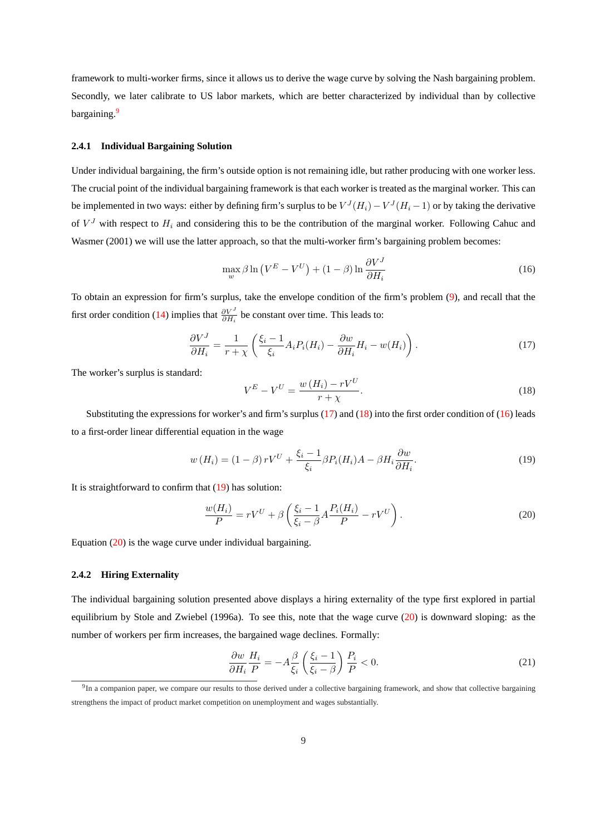<span id="page-10-0"></span>framework to multi-worker firms, since it allows us to derive the wage curve by solving the Nash bargaining problem. Secondly, we later calibrate to US labor markets, which are better characterized by individual than by collective bargaining.<sup>9</sup>

#### **2.4.1 Individual Bargaining Solution**

Under individual bargaining, the firm's outside option is not remaining idle, but rather producing with one worker less. The crucial point of the individual bargaining framework is that each worker is treated as the marginal worker. This can be implemented in two ways: either by defining firm's surplus to be  $V^J(H_i) - V^J(H_i - 1)$  or by taking the derivative of  $V<sup>J</sup>$  with respect to  $H<sub>i</sub>$  and considering this to be the contribution of the marginal worker. Following Cahuc and Wasmer (2001) we will use the latter approach, so that the multi-worker firm's bargaining problem becomes:

$$
\max_{w} \beta \ln \left( V^{E} - V^{U} \right) + (1 - \beta) \ln \frac{\partial V^{J}}{\partial H_{i}} \tag{16}
$$

To obtain an expression for firm's surplus, take the envelope condition of the firm's problem [\(9\)](#page-8-0), and recall that the first order condition [\(14\)](#page-9-0) implies that  $\frac{\partial V^J}{\partial H_i}$  be constant over time. This leads to:

$$
\frac{\partial V^J}{\partial H_i} = \frac{1}{r + \chi} \left( \frac{\xi_i - 1}{\xi_i} A_i P_i(H_i) - \frac{\partial w}{\partial H_i} H_i - w(H_i) \right). \tag{17}
$$

The worker's surplus is standard:

$$
V^{E} - V^{U} = \frac{w(H_{i}) - rV^{U}}{r + \chi}.
$$
\n(18)

Substituting the expressions for worker's and firm's surplus  $(17)$  and  $(18)$  into the first order condition of  $(16)$  leads to a first-order linear differential equation in the wage

$$
w(H_i) = (1 - \beta) r V^U + \frac{\xi_i - 1}{\xi_i} \beta P_i(H_i) A - \beta H_i \frac{\partial w}{\partial H_i}.
$$
\n(19)

It is straightforward to confirm that (19) has solution:

$$
\frac{w(H_i)}{P} = rV^U + \beta \left( \frac{\xi_i - 1}{\xi_i - \beta} A \frac{P_i(H_i)}{P} - rV^U \right). \tag{20}
$$

Equation (20) is the wage curve under individual bargaining.

#### **2.4.2 Hiring Externality**

The individual bargaining solution presented above displays a hiring externality of the type first explored in partial equilibrium by Stole and Zwiebel (1996a). To see this, note that the wage curve  $(20)$  is downward sloping: as the number of workers per firm increases, the bargained wage declines. Formally:

$$
\frac{\partial w}{\partial H_i} \frac{H_i}{P} = -A \frac{\beta}{\xi_i} \left( \frac{\xi_i - 1}{\xi_i - \beta} \right) \frac{P_i}{P} < 0. \tag{21}
$$

<sup>&</sup>lt;sup>9</sup>In a companion paper, we compare our results to those derived under a collective bargaining framework, and show that collective bargaining strengthens the impact of product market competition on unemployment and wages substantially.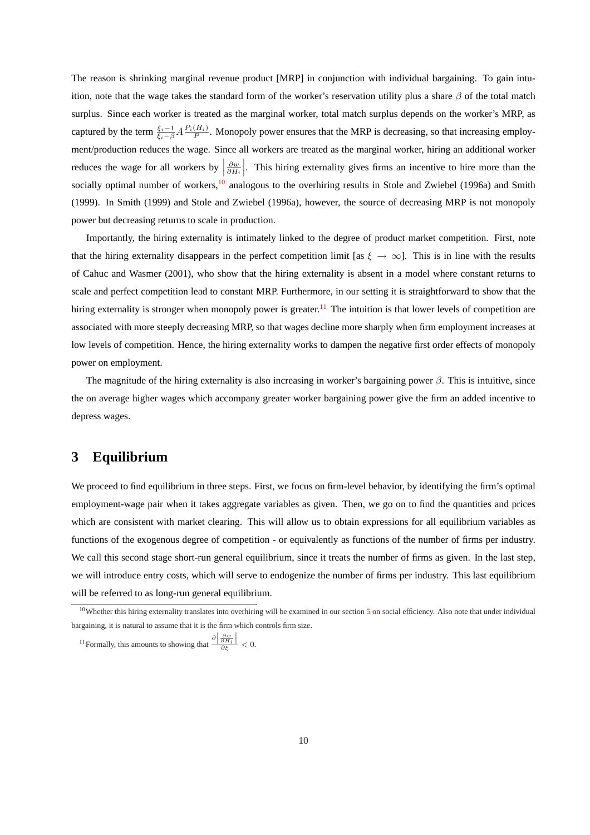The reason is shrinking marginal revenue product [MRP] in conjunction with individual bargaining. To gain intuition, note that the wage takes the standard form of the worker's reservation utility plus a share  $\beta$  of the total match surplus. Since each worker is treated as the marginal worker, total match surplus depends on the worker's MRP, as captured by the term  $\frac{\xi_i-1}{\xi_i-\beta}A\frac{P_i(H_i)}{P}$ . Monopoly power ensures that the MRP is decreasing, so that increasing employment/production reduces the wage. Since all workers are treated as the marginal worker, hiring an additional worker reduces the wage for all workers by  $\left|\frac{\partial w}{\partial H_i}\right|$ . This hiring externality gives firms an incentive to hire more than the socially optimal number of workers,<sup>10</sup> analogous to the overhiring results in Stole and Zwiebel (1996a) and Smith (1999). In Smith (1999) and Stole and Zwiebel (1996a), however, the source of decreasing MRP is not monopoly power but decreasing returns to scale in production.

Importantly, the hiring externality is intimately linked to the degree of product market competition. First, note that the hiring externality disappears in the perfect competition limit [as  $\xi \to \infty$ ]. This is in line with the results of Cahuc and Wasmer (2001), who show that the hiring externality is absent in a model where constant returns to scale and perfect competition lead to constant MRP. Furthermore, in our setting it is straightforward to show that the hiring externality is stronger when monopoly power is greater.<sup>11</sup> The intuition is that lower levels of competition are associated with more steeply decreasing MRP, so that wages decline more sharply when firm employment increases at low levels of competition. Hence, the hiring externality works to dampen the negative first order effects of monopoly power on employment.

The magnitude of the hiring externality is also increasing in worker's bargaining power  $\beta$ . This is intuitive, since the on average higher wages which accompany greater worker bargaining power give the firm an added incentive to depress wages.

## **3 Equilibrium**

We proceed to find equilibrium in three steps. First, we focus on firm-level behavior, by identifying the firm's optimal employment-wage pair when it takes aggregate variables as given. Then, we go on to find the quantities and prices which are consistent with market clearing. This will allow us to obtain expressions for all equilibrium variables as functions of the exogenous degree of competition - or equivalently as functions of the number of firms per industry. We call this second stage short-run general equilibrium, since it treats the number of firms as given. In the last step, we will introduce entry costs, which will serve to endogenize the number of firms per industry. This last equilibrium will be referred to as long-run general equilibrium.

 $10$ Whether this hiring externality translates into overhiring will be examined in our section [5](#page-23-0) on social efficiency. Also note that under individual bargaining, it is natural to assume that it is the firm which controls firm size.

<sup>&</sup>lt;sup>11</sup>Formally, this amounts to showing that  $\frac{\partial |\frac{\partial w}{\partial H_i}|}{\partial \zeta}$  $\frac{\partial H_i|}{\partial \xi} < 0.$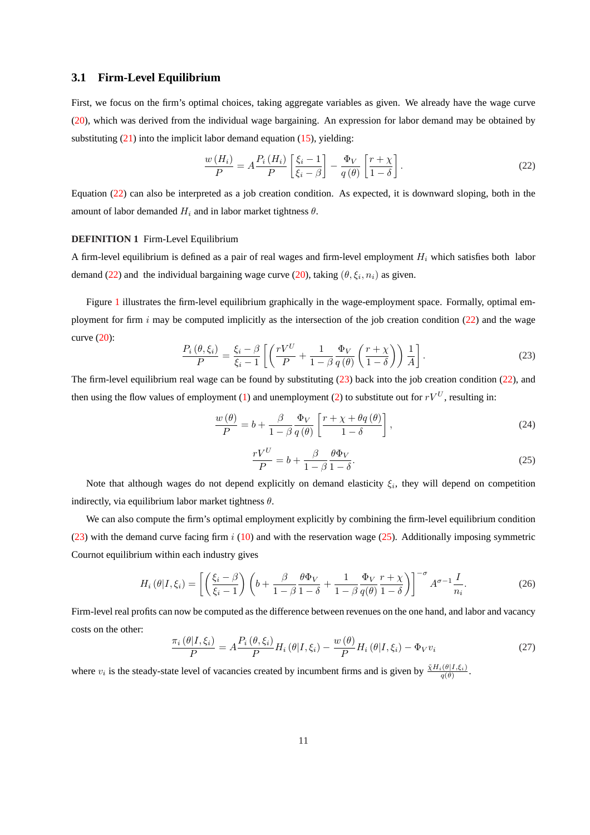#### <span id="page-12-0"></span>**3.1 Firm-Level Equilibrium**

First, we focus on the firm's optimal choices, taking aggregate variables as given. We already have the wage curve [\(20\)](#page-10-0), which was derived from the individual wage bargaining. An expression for labor demand may be obtained by substituting  $(21)$  into the implicit labor demand equation  $(15)$ , yielding:

$$
\frac{w(H_i)}{P} = A \frac{P_i(H_i)}{P} \left[ \frac{\xi_i - 1}{\xi_i - \beta} \right] - \frac{\Phi_V}{q(\theta)} \left[ \frac{r + \chi}{1 - \delta} \right].
$$
\n(22)

Equation (22) can also be interpreted as a job creation condition. As expected, it is downward sloping, both in the amount of labor demanded  $H_i$  and in labor market tightness  $\theta$ .

#### **DEFINITION 1** Firm-Level Equilibrium

A firm-level equilibrium is defined as a pair of real wages and firm-level employment  $H_i$  which satisfies both labor demand (22) and the individual bargaining wage curve [\(20\)](#page-10-0), taking  $(\theta, \xi_i, n_i)$  as given.

Figure [1](#page-35-0) illustrates the firm-level equilibrium graphically in the wage-employment space. Formally, optimal employment for firm  $i$  may be computed implicitly as the intersection of the job creation condition (22) and the wage curve [\(20\)](#page-10-0):  $\overline{a}$  $\overline{a}$ 

$$
\frac{P_i(\theta,\xi_i)}{P} = \frac{\xi_i - \beta}{\xi_i - 1} \left[ \left( \frac{rV^U}{P} + \frac{1}{1 - \beta} \frac{\Phi_V}{q(\theta)} \left( \frac{r + \chi}{1 - \delta} \right) \right) \frac{1}{A} \right].
$$
\n(23)

The firm-level equilibrium real wage can be found by substituting  $(23)$  back into the job creation condition  $(22)$ , and then using the flow values of employment [\(1\)](#page-6-0) and unemployment [\(2\)](#page-7-0) to substitute out for  $rV^U$ , resulting in:

$$
\frac{w(\theta)}{P} = b + \frac{\beta}{1 - \beta} \frac{\Phi_V}{q(\theta)} \left[ \frac{r + \chi + \theta q(\theta)}{1 - \delta} \right],\tag{24}
$$

$$
\frac{rV^U}{P} = b + \frac{\beta}{1 - \beta} \frac{\theta \Phi_V}{1 - \delta}.
$$
\n(25)

Note that although wages do not depend explicitly on demand elasticity  $\xi_i$ , they will depend on competition indirectly, via equilibrium labor market tightness  $\theta$ .

We can also compute the firm's optimal employment explicitly by combining the firm-level equilibrium condition (23) with the demand curve facing firm  $i$  [\(10\)](#page-8-0) and with the reservation wage (25). Additionally imposing symmetric Cournot equilibrium within each industry gives

$$
H_i(\theta|I,\xi_i) = \left[ \left( \frac{\xi_i - \beta}{\xi_i - 1} \right) \left( b + \frac{\beta}{1 - \beta} \frac{\theta \Phi_V}{1 - \delta} + \frac{1}{1 - \beta} \frac{\Phi_V}{q(\theta)} \frac{r + \chi}{1 - \delta} \right) \right]^{-\sigma} A^{\sigma - 1} \frac{I}{n_i}.
$$
 (26)

Firm-level real profits can now be computed as the difference between revenues on the one hand, and labor and vacancy costs on the other:

$$
\frac{\pi_i(\theta|I,\xi_i)}{P} = A \frac{P_i(\theta,\xi_i)}{P} H_i(\theta|I,\xi_i) - \frac{w(\theta)}{P} H_i(\theta|I,\xi_i) - \Phi_V v_i
$$
\n(27)

where  $v_i$  is the steady-state level of vacancies created by incumbent firms and is given by  $\frac{\tilde{\chi}H_i(\theta|I,\xi_i)}{q(\theta)}$ .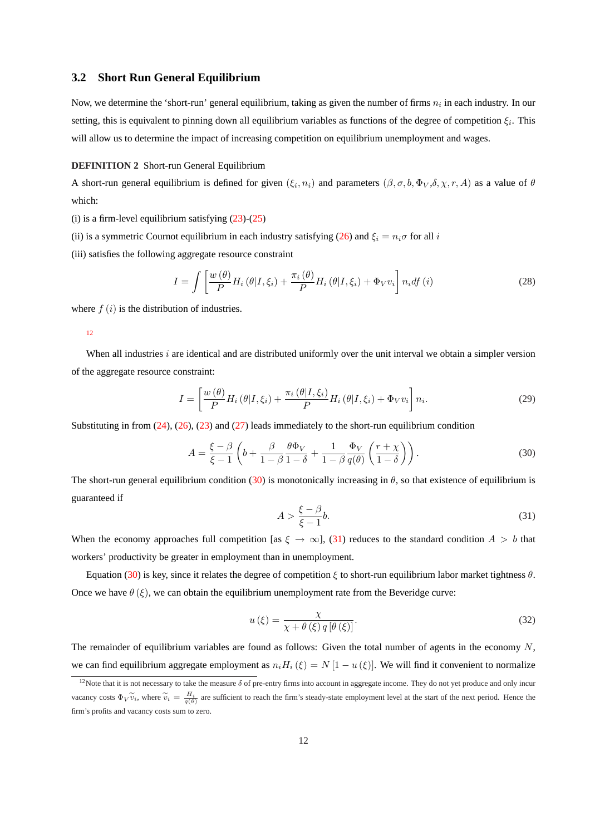#### <span id="page-13-0"></span>**3.2 Short Run General Equilibrium**

Now, we determine the 'short-run' general equilibrium, taking as given the number of firms  $n_i$  in each industry. In our setting, this is equivalent to pinning down all equilibrium variables as functions of the degree of competition  $\xi_i$ . This will allow us to determine the impact of increasing competition on equilibrium unemployment and wages.

#### **DEFINITION 2** Short-run General Equilibrium

A short-run general equilibrium is defined for given  $(\xi_i, n_i)$  and parameters  $(\beta, \sigma, b, \Phi_V, \delta, \chi, r, A)$  as a value of  $\theta$ which:

(i) is a firm-level equilibrium satisfying  $(23)-(25)$  $(23)-(25)$ 

(ii) is a symmetric Cournot equilibrium in each industry satisfying [\(26\)](#page-12-0) and  $\xi_i = n_i \sigma$  for all i

(iii) satisfies the following aggregate resource constraint

$$
I = \int \left[ \frac{w(\theta)}{P} H_i(\theta | I, \xi_i) + \frac{\pi_i(\theta)}{P} H_i(\theta | I, \xi_i) + \Phi_V v_i \right] n_i df(i)
$$
 (28)

where  $f(i)$  is the distribution of industries.

#### 12

When all industries i are identical and are distributed uniformly over the unit interval we obtain a simpler version of the aggregate resource constraint:

$$
I = \left[\frac{w(\theta)}{P}H_i(\theta|I,\xi_i) + \frac{\pi_i(\theta|I,\xi_i)}{P}H_i(\theta|I,\xi_i) + \Phi_V v_i\right]n_i.
$$
 (29)

Substituting in from [\(24\)](#page-12-0), [\(26\)](#page-12-0), [\(23\)](#page-12-0) and [\(27\)](#page-12-0) leads immediately to the short-run equilibrium condition

$$
A = \frac{\xi - \beta}{\xi - 1} \left( b + \frac{\beta}{1 - \beta} \frac{\theta \Phi_V}{1 - \delta} + \frac{1}{1 - \beta} \frac{\Phi_V}{q(\theta)} \left( \frac{r + \chi}{1 - \delta} \right) \right). \tag{30}
$$

The short-run general equilibrium condition (30) is monotonically increasing in  $\theta$ , so that existence of equilibrium is guaranteed if

$$
A > \frac{\xi - \beta}{\xi - 1}b.\tag{31}
$$

When the economy approaches full competition [as  $\xi \to \infty$ ], (31) reduces to the standard condition  $A > b$  that workers' productivity be greater in employment than in unemployment.

Equation (30) is key, since it relates the degree of competition ξ to short-run equilibrium labor market tightness  $θ$ . Once we have  $\theta(\xi)$ , we can obtain the equilibrium unemployment rate from the Beveridge curve:

$$
u(\xi) = \frac{\chi}{\chi + \theta(\xi) q[\theta(\xi)]}.
$$
\n(32)

The remainder of equilibrium variables are found as follows: Given the total number of agents in the economy  $N$ , we can find equilibrium aggregate employment as  $n_iH_i(\xi) = N[1 - u(\xi)]$ . We will find it convenient to normalize

<sup>&</sup>lt;sup>12</sup>Note that it is not necessary to take the measure  $\delta$  of pre-entry firms into account in aggregate income. They do not yet produce and only incur vacancy costs  $\Phi_V \widetilde{v}_i$ , where  $\widetilde{v}_i = \frac{H_i}{q(\theta)}$  are sufficient to reach the firm's steady-state employment level at the start of the next period. Hence the firm's profits and vacancy costs sum to zero.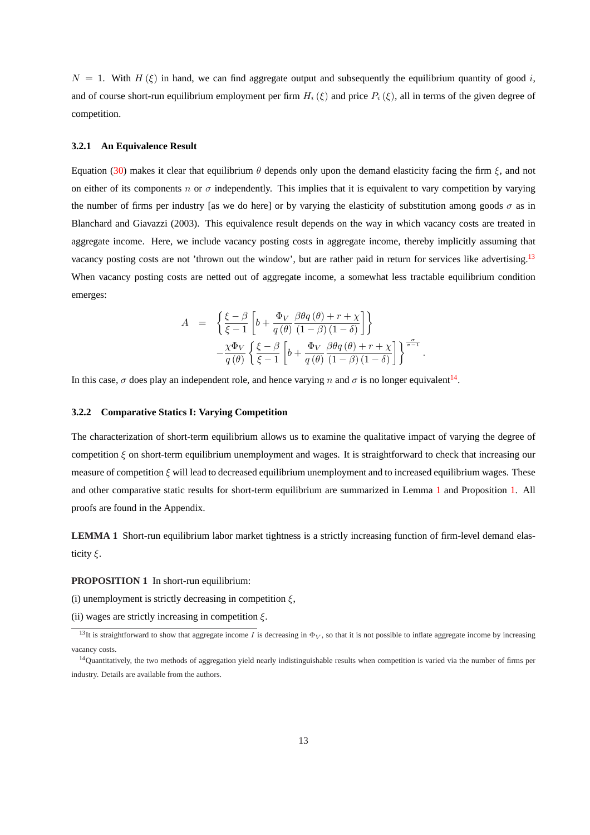<span id="page-14-0"></span> $N = 1$ . With  $H(\xi)$  in hand, we can find aggregate output and subsequently the equilibrium quantity of good i, and of course short-run equilibrium employment per firm  $H_i(\xi)$  and price  $P_i(\xi)$ , all in terms of the given degree of competition.

#### **3.2.1 An Equivalence Result**

Equation [\(30\)](#page-13-0) makes it clear that equilibrium  $\theta$  depends only upon the demand elasticity facing the firm  $\xi$ , and not on either of its components n or  $\sigma$  independently. This implies that it is equivalent to vary competition by varying the number of firms per industry [as we do here] or by varying the elasticity of substitution among goods  $\sigma$  as in Blanchard and Giavazzi (2003). This equivalence result depends on the way in which vacancy costs are treated in aggregate income. Here, we include vacancy posting costs in aggregate income, thereby implicitly assuming that vacancy posting costs are not 'thrown out the window', but are rather paid in return for services like advertising.<sup>13</sup> When vacancy posting costs are netted out of aggregate income, a somewhat less tractable equilibrium condition emerges:

$$
A = \left\{ \frac{\xi - \beta}{\xi - 1} \left[ b + \frac{\Phi_V}{q(\theta)} \frac{\beta \theta q(\theta) + r + \chi}{(1 - \beta)(1 - \delta)} \right] \right\}
$$

$$
- \frac{\chi \Phi_V}{q(\theta)} \left\{ \frac{\xi - \beta}{\xi - 1} \left[ b + \frac{\Phi_V}{q(\theta)} \frac{\beta \theta q(\theta) + r + \chi}{(1 - \beta)(1 - \delta)} \right] \right\}^{\frac{\sigma}{\sigma - 1}}
$$

.

In this case,  $\sigma$  does play an independent role, and hence varying n and  $\sigma$  is no longer equivalent<sup>14</sup>.

#### **3.2.2 Comparative Statics I: Varying Competition**

The characterization of short-term equilibrium allows us to examine the qualitative impact of varying the degree of competition  $\xi$  on short-term equilibrium unemployment and wages. It is straightforward to check that increasing our measure of competition  $\xi$  will lead to decreased equilibrium unemployment and to increased equilibrium wages. These and other comparative static results for short-term equilibrium are summarized in Lemma 1 and Proposition 1. All proofs are found in the Appendix.

**LEMMA 1** Short-run equilibrium labor market tightness is a strictly increasing function of firm-level demand elasticity  $\xi$ .

**PROPOSITION 1** In short-run equilibrium:

(i) unemployment is strictly decreasing in competition  $\xi$ ,

(ii) wages are strictly increasing in competition  $\xi$ .

<sup>&</sup>lt;sup>13</sup>It is straightforward to show that aggregate income I is decreasing in  $\Phi_V$ , so that it is not possible to inflate aggregate income by increasing vacancy costs.

<sup>&</sup>lt;sup>14</sup>Quantitatively, the two methods of aggregation yield nearly indistinguishable results when competition is varied via the number of firms per industry. Details are available from the authors.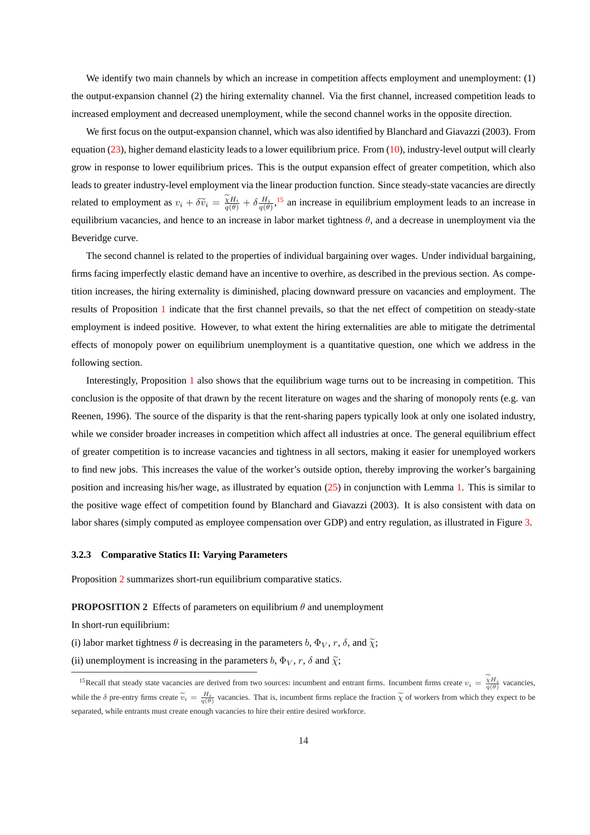<span id="page-15-0"></span>We identify two main channels by which an increase in competition affects employment and unemployment: (1) the output-expansion channel (2) the hiring externality channel. Via the first channel, increased competition leads to increased employment and decreased unemployment, while the second channel works in the opposite direction.

We first focus on the output-expansion channel, which was also identified by Blanchard and Giavazzi (2003). From equation [\(23\)](#page-12-0), higher demand elasticity leads to a lower equilibrium price. From [\(10\)](#page-8-0), industry-level output will clearly grow in response to lower equilibrium prices. This is the output expansion effect of greater competition, which also leads to greater industry-level employment via the linear production function. Since steady-state vacancies are directly related to employment as  $v_i + \delta \tilde{v}_i = \frac{\tilde{\chi} H_i}{q(\theta)} + \delta \frac{H_i}{q(\theta)}$ , <sup>15</sup> an increase in equilibrium employment leads to an increase in equilibrium vacancies, and hence to an increase in labor market tightness  $\theta$ , and a decrease in unemployment via the Beveridge curve.

The second channel is related to the properties of individual bargaining over wages. Under individual bargaining, firms facing imperfectly elastic demand have an incentive to overhire, as described in the previous section. As competition increases, the hiring externality is diminished, placing downward pressure on vacancies and employment. The results of Proposition [1](#page-14-0) indicate that the first channel prevails, so that the net effect of competition on steady-state employment is indeed positive. However, to what extent the hiring externalities are able to mitigate the detrimental effects of monopoly power on equilibrium unemployment is a quantitative question, one which we address in the following section.

Interestingly, Proposition [1](#page-14-0) also shows that the equilibrium wage turns out to be increasing in competition. This conclusion is the opposite of that drawn by the recent literature on wages and the sharing of monopoly rents (e.g. van Reenen, 1996). The source of the disparity is that the rent-sharing papers typically look at only one isolated industry, while we consider broader increases in competition which affect all industries at once. The general equilibrium effect of greater competition is to increase vacancies and tightness in all sectors, making it easier for unemployed workers to find new jobs. This increases the value of the worker's outside option, thereby improving the worker's bargaining position and increasing his/her wage, as illustrated by equation [\(25\)](#page-12-0) in conjunction with Lemma [1.](#page-14-0) This is similar to the positive wage effect of competition found by Blanchard and Giavazzi (2003). It is also consistent with data on labor shares (simply computed as employee compensation over GDP) and entry regulation, as illustrated in Figure [3.](#page-37-0)

#### **3.2.3 Comparative Statics II: Varying Parameters**

Proposition 2 summarizes short-run equilibrium comparative statics.

**PROPOSITION 2** Effects of parameters on equilibrium  $\theta$  and unemployment

In short-run equilibrium:

(i) labor market tightness  $\theta$  is decreasing in the parameters b,  $\Phi_V$ , r,  $\delta$ , and  $\tilde{\chi}$ ;

(ii) unemployment is increasing in the parameters b,  $\Phi_V$ , r,  $\delta$  and  $\tilde{\chi}$ ;

<sup>&</sup>lt;sup>15</sup>Recall that steady state vacancies are derived from two sources: incumbent and entrant firms. Incumbent firms create  $v_i = \frac{\tilde{\chi}H_i}{q(\theta)}$  vacancies, while the  $\delta$  pre-entry firms create  $\tilde{v}_i = \frac{H_i}{q(\theta)}$  vacancies. That is, incumbent firms replace the fraction  $\tilde{\chi}$  of workers from which they expect to be separated, while entrants must create enough vacancies to hire their entire desired workforce.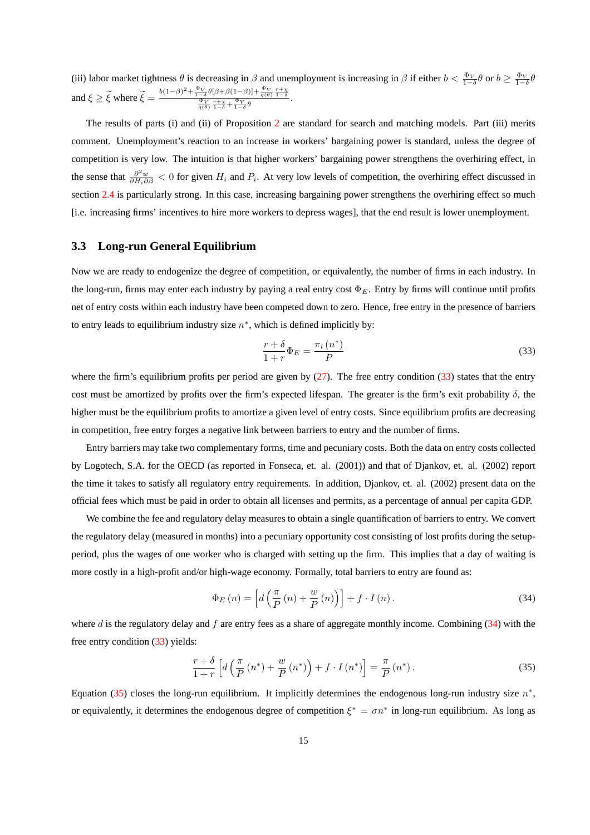<span id="page-16-0"></span>(iii) labor market tightness  $\theta$  is decreasing in  $\beta$  and unemployment is increasing in  $\beta$  if either  $b < \frac{\Phi_V}{1-\delta}\theta$  or  $b \ge \frac{\Phi_V}{1-\delta}\theta$ and  $\xi \ge \tilde{\xi}$  where  $\tilde{\xi} = \frac{b(1-\beta)^2 + \frac{\Phi_V}{1-\delta}\theta[\beta+\beta(1-\beta)] + \frac{\Phi_V}{q(\theta)}\frac{r+\chi}{1-\delta}}{\frac{\Phi_V}{q(\theta)}\frac{r+\chi}{1-\delta} + \frac{\Phi_V}{1-\delta}\theta}$ .

The results of parts (i) and (ii) of Proposition [2](#page-15-0) are standard for search and matching models. Part (iii) merits comment. Unemployment's reaction to an increase in workers' bargaining power is standard, unless the degree of competition is very low. The intuition is that higher workers' bargaining power strengthens the overhiring effect, in the sense that  $\frac{\partial^2 w}{\partial H_i \partial \beta}$  < 0 for given  $H_i$  and  $P_i$ . At very low levels of competition, the overhiring effect discussed in section [2.4](#page-9-0) is particularly strong. In this case, increasing bargaining power strengthens the overhiring effect so much [i.e. increasing firms' incentives to hire more workers to depress wages], that the end result is lower unemployment.

#### **3.3 Long-run General Equilibrium**

Now we are ready to endogenize the degree of competition, or equivalently, the number of firms in each industry. In the long-run, firms may enter each industry by paying a real entry cost  $\Phi_E$ . Entry by firms will continue until profits net of entry costs within each industry have been competed down to zero. Hence, free entry in the presence of barriers to entry leads to equilibrium industry size  $n^*$ , which is defined implicitly by:

$$
\frac{r+\delta}{1+r}\Phi_E = \frac{\pi_i\left(n^*\right)}{P} \tag{33}
$$

where the firm's equilibrium profits per period are given by  $(27)$ . The free entry condition  $(33)$  states that the entry cost must be amortized by profits over the firm's expected lifespan. The greater is the firm's exit probability  $\delta$ , the higher must be the equilibrium profits to amortize a given level of entry costs. Since equilibrium profits are decreasing in competition, free entry forges a negative link between barriers to entry and the number of firms.

Entry barriers may take two complementary forms, time and pecuniary costs. Both the data on entry costs collected by Logotech, S.A. for the OECD (as reported in Fonseca, et. al. (2001)) and that of Djankov, et. al. (2002) report the time it takes to satisfy all regulatory entry requirements. In addition, Djankov, et. al. (2002) present data on the official fees which must be paid in order to obtain all licenses and permits, as a percentage of annual per capita GDP.

We combine the fee and regulatory delay measures to obtain a single quantification of barriers to entry. We convert the regulatory delay (measured in months) into a pecuniary opportunity cost consisting of lost profits during the setupperiod, plus the wages of one worker who is charged with setting up the firm. This implies that a day of waiting is more costly in a high-profit and/or high-wage economy. Formally, total barriers to entry are found as:

$$
\Phi_E(n) = \left[ d\left(\frac{\pi}{P}(n) + \frac{w}{P}(n)\right) \right] + f \cdot I(n). \tag{34}
$$

where d is the regulatory delay and f are entry fees as a share of aggregate monthly income. Combining  $(34)$  with the free entry condition (33) yields:

$$
\frac{r+\delta}{1+r}\left[d\left(\frac{\pi}{P}\left(n^*\right)+\frac{w}{P}\left(n^*\right)\right)+f\cdot I\left(n^*\right)\right]=\frac{\pi}{P}\left(n^*\right).
$$
\n(35)

Equation (35) closes the long-run equilibrium. It implicitly determines the endogenous long-run industry size  $n^*$ , or equivalently, it determines the endogenous degree of competition  $\xi^* = \sigma n^*$  in long-run equilibrium. As long as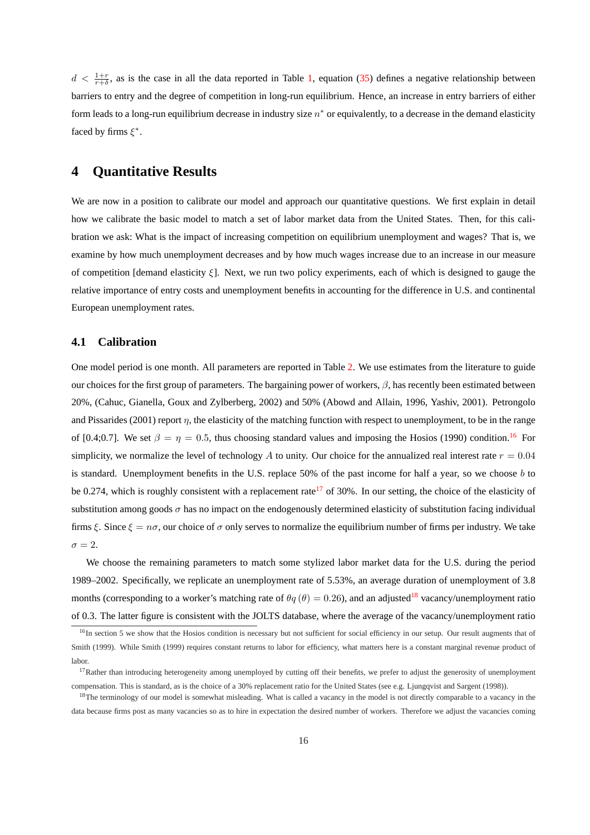$d < \frac{1+r}{r+\delta}$ , as is the case in all the data reported in Table [1,](#page-31-0) equation [\(35\)](#page-16-0) defines a negative relationship between barriers to entry and the degree of competition in long-run equilibrium. Hence, an increase in entry barriers of either form leads to a long-run equilibrium decrease in industry size  $n^*$  or equivalently, to a decrease in the demand elasticity faced by firms  $\xi^*$ .

## **4 Quantitative Results**

We are now in a position to calibrate our model and approach our quantitative questions. We first explain in detail how we calibrate the basic model to match a set of labor market data from the United States. Then, for this calibration we ask: What is the impact of increasing competition on equilibrium unemployment and wages? That is, we examine by how much unemployment decreases and by how much wages increase due to an increase in our measure of competition [demand elasticity  $\xi$ ]. Next, we run two policy experiments, each of which is designed to gauge the relative importance of entry costs and unemployment benefits in accounting for the difference in U.S. and continental European unemployment rates.

#### **4.1 Calibration**

One model period is one month. All parameters are reported in Table [2.](#page-32-0) We use estimates from the literature to guide our choices for the first group of parameters. The bargaining power of workers,  $\beta$ , has recently been estimated between 20%, (Cahuc, Gianella, Goux and Zylberberg, 2002) and 50% (Abowd and Allain, 1996, Yashiv, 2001). Petrongolo and Pissarides (2001) report  $\eta$ , the elasticity of the matching function with respect to unemployment, to be in the range of [0.4;0.7]. We set  $\beta = \eta = 0.5$ , thus choosing standard values and imposing the Hosios (1990) condition.<sup>16</sup> For simplicity, we normalize the level of technology A to unity. Our choice for the annualized real interest rate  $r = 0.04$ is standard. Unemployment benefits in the U.S. replace 50% of the past income for half a year, so we choose b to be 0.274, which is roughly consistent with a replacement rate<sup>17</sup> of 30%. In our setting, the choice of the elasticity of substitution among goods  $\sigma$  has no impact on the endogenously determined elasticity of substitution facing individual firms ξ. Since  $\xi = n\sigma$ , our choice of  $\sigma$  only serves to normalize the equilibrium number of firms per industry. We take  $\sigma = 2$ .

We choose the remaining parameters to match some stylized labor market data for the U.S. during the period 1989–2002. Specifically, we replicate an unemployment rate of 5.53%, an average duration of unemployment of 3.8 months (corresponding to a worker's matching rate of  $\theta q(\theta) = 0.26$ ), and an adjusted<sup>18</sup> vacancy/unemployment ratio of 0.3. The latter figure is consistent with the JOLTS database, where the average of the vacancy/unemployment ratio

<sup>&</sup>lt;sup>16</sup>In section 5 we show that the Hosios condition is necessary but not sufficient for social efficiency in our setup. Our result augments that of Smith (1999). While Smith (1999) requires constant returns to labor for efficiency, what matters here is a constant marginal revenue product of labor.

<sup>&</sup>lt;sup>17</sup>Rather than introducing heterogeneity among unemployed by cutting off their benefits, we prefer to adjust the generosity of unemployment compensation. This is standard, as is the choice of a 30% replacement ratio for the United States (see e.g. Ljungqvist and Sargent (1998)).

<sup>&</sup>lt;sup>18</sup>The terminology of our model is somewhat misleading. What is called a vacancy in the model is not directly comparable to a vacancy in the data because firms post as many vacancies so as to hire in expectation the desired number of workers. Therefore we adjust the vacancies coming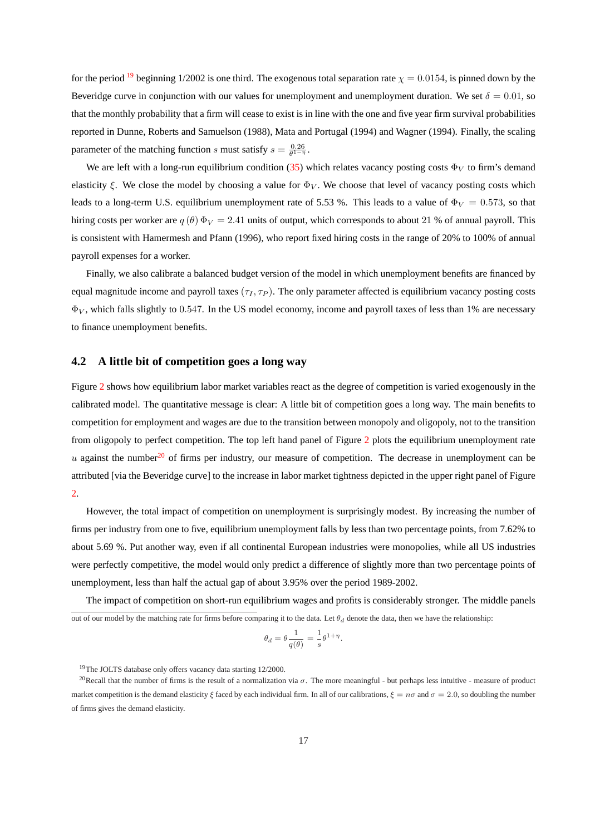for the period <sup>19</sup> beginning 1/2002 is one third. The exogenous total separation rate  $\chi = 0.0154$ , is pinned down by the Beveridge curve in conjunction with our values for unemployment and unemployment duration. We set  $\delta = 0.01$ , so that the monthly probability that a firm will cease to exist is in line with the one and five year firm survival probabilities reported in Dunne, Roberts and Samuelson (1988), Mata and Portugal (1994) and Wagner (1994). Finally, the scaling parameter of the matching function s must satisfy  $s = \frac{0.26}{\theta^{1-\eta}}$ .

We are left with a long-run equilibrium condition [\(35\)](#page-16-0) which relates vacancy posting costs  $\Phi_V$  to firm's demand elasticity ξ. We close the model by choosing a value for  $\Phi_V$ . We choose that level of vacancy posting costs which leads to a long-term U.S. equilibrium unemployment rate of 5.53 %. This leads to a value of  $\Phi_V = 0.573$ , so that hiring costs per worker are  $q(\theta) \Phi_V = 2.41$  units of output, which corresponds to about 21 % of annual payroll. This is consistent with Hamermesh and Pfann (1996), who report fixed hiring costs in the range of 20% to 100% of annual payroll expenses for a worker.

Finally, we also calibrate a balanced budget version of the model in which unemployment benefits are financed by equal magnitude income and payroll taxes  $(\tau_I, \tau_P)$ . The only parameter affected is equilibrium vacancy posting costs  $\Phi_V$ , which falls slightly to 0.547. In the US model economy, income and payroll taxes of less than 1% are necessary to finance unemployment benefits.

#### **4.2 A little bit of competition goes a long way**

Figure [2](#page-36-0) shows how equilibrium labor market variables react as the degree of competition is varied exogenously in the calibrated model. The quantitative message is clear: A little bit of competition goes a long way. The main benefits to competition for employment and wages are due to the transition between monopoly and oligopoly, not to the transition from oligopoly to perfect competition. The top left hand panel of Figure [2](#page-36-0) plots the equilibrium unemployment rate u against the number<sup>20</sup> of firms per industry, our measure of competition. The decrease in unemployment can be attributed [via the Beveridge curve] to the increase in labor market tightness depicted in the upper right panel of Figure [2.](#page-36-0)

However, the total impact of competition on unemployment is surprisingly modest. By increasing the number of firms per industry from one to five, equilibrium unemployment falls by less than two percentage points, from 7.62% to about 5.69 %. Put another way, even if all continental European industries were monopolies, while all US industries were perfectly competitive, the model would only predict a difference of slightly more than two percentage points of unemployment, less than half the actual gap of about 3.95% over the period 1989-2002.

The impact of competition on short-run equilibrium wages and profits is considerably stronger. The middle panels out of our model by the matching rate for firms before comparing it to the data. Let  $\theta_d$  denote the data, then we have the relationship:

$$
\theta_d = \theta \frac{1}{q(\theta)} = \frac{1}{s} \theta^{1+\eta}
$$

.

<sup>19</sup>The JOLTS database only offers vacancy data starting 12/2000.

<sup>&</sup>lt;sup>20</sup>Recall that the number of firms is the result of a normalization via  $\sigma$ . The more meaningful - but perhaps less intuitive - measure of product market competition is the demand elasticity  $\xi$  faced by each individual firm. In all of our calibrations,  $\xi = n\sigma$  and  $\sigma = 2.0$ , so doubling the number of firms gives the demand elasticity.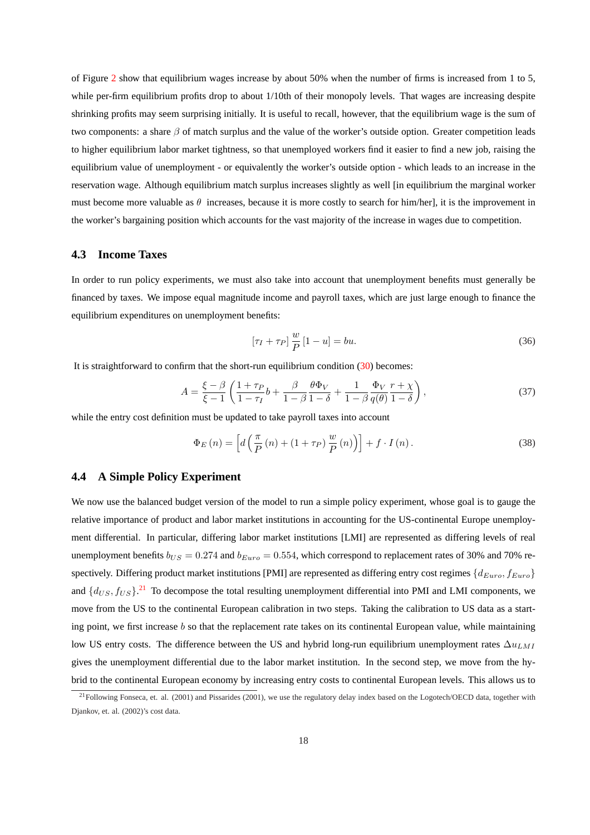of Figure [2](#page-36-0) show that equilibrium wages increase by about 50% when the number of firms is increased from 1 to 5, while per-firm equilibrium profits drop to about 1/10th of their monopoly levels. That wages are increasing despite shrinking profits may seem surprising initially. It is useful to recall, however, that the equilibrium wage is the sum of two components: a share  $\beta$  of match surplus and the value of the worker's outside option. Greater competition leads to higher equilibrium labor market tightness, so that unemployed workers find it easier to find a new job, raising the equilibrium value of unemployment - or equivalently the worker's outside option - which leads to an increase in the reservation wage. Although equilibrium match surplus increases slightly as well [in equilibrium the marginal worker must become more valuable as  $\theta$  increases, because it is more costly to search for him/her], it is the improvement in the worker's bargaining position which accounts for the vast majority of the increase in wages due to competition.

#### **4.3 Income Taxes**

In order to run policy experiments, we must also take into account that unemployment benefits must generally be financed by taxes. We impose equal magnitude income and payroll taxes, which are just large enough to finance the equilibrium expenditures on unemployment benefits:

$$
\left[\tau_I + \tau_P\right] \frac{w}{P} \left[1 - u\right] = bu. \tag{36}
$$

It is straightforward to confirm that the short-run equilibrium condition [\(30\)](#page-13-0) becomes:

$$
A = \frac{\xi - \beta}{\xi - 1} \left( \frac{1 + \tau_P}{1 - \tau_I} b + \frac{\beta}{1 - \beta} \frac{\theta \Phi_V}{1 - \delta} + \frac{1}{1 - \beta} \frac{\Phi_V}{q(\theta)} \frac{r + \chi}{1 - \delta} \right),\tag{37}
$$

while the entry cost definition must be updated to take payroll taxes into account

$$
\Phi_{E}(n) = \left[ d\left(\frac{\pi}{P}(n) + (1 + \tau_{P}) \frac{w}{P}(n)\right) \right] + f \cdot I(n). \tag{38}
$$

#### **4.4 A Simple Policy Experiment**

We now use the balanced budget version of the model to run a simple policy experiment, whose goal is to gauge the relative importance of product and labor market institutions in accounting for the US-continental Europe unemployment differential. In particular, differing labor market institutions [LMI] are represented as differing levels of real unemployment benefits  $b_{US} = 0.274$  and  $b_{Euro} = 0.554$ , which correspond to replacement rates of 30% and 70% respectively. Differing product market institutions [PMI] are represented as differing entry cost regimes  $\{d_{Euro}, f_{Euro}\}$ and  $\{d_{US}, f_{US}\}$ <sup>21</sup> To decompose the total resulting unemployment differential into PMI and LMI components, we move from the US to the continental European calibration in two steps. Taking the calibration to US data as a starting point, we first increase b so that the replacement rate takes on its continental European value, while maintaining low US entry costs. The difference between the US and hybrid long-run equilibrium unemployment rates  $\Delta u_{LMI}$ gives the unemployment differential due to the labor market institution. In the second step, we move from the hybrid to the continental European economy by increasing entry costs to continental European levels. This allows us to

 $^{21}$ Following Fonseca, et. al. (2001) and Pissarides (2001), we use the regulatory delay index based on the Logotech/OECD data, together with Djankov, et. al. (2002)'s cost data.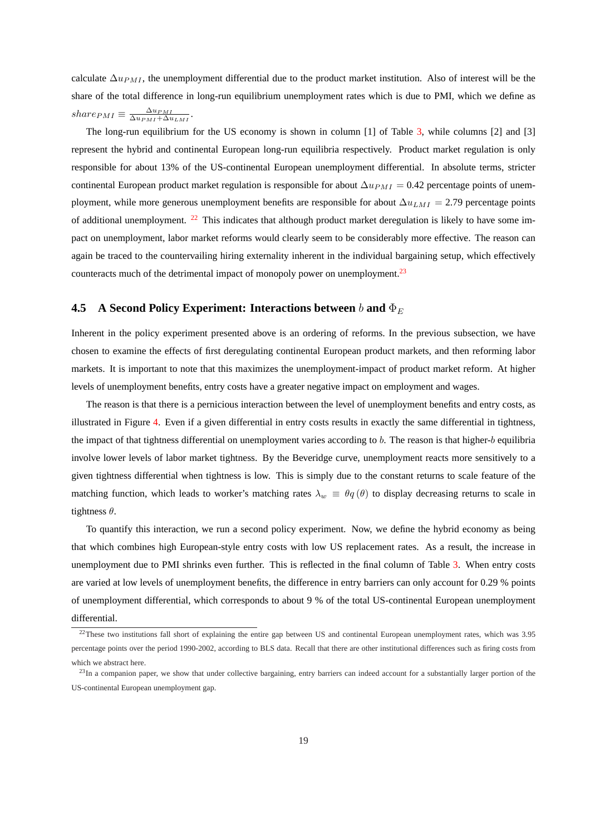calculate  $\Delta u_{PMI}$ , the unemployment differential due to the product market institution. Also of interest will be the share of the total difference in long-run equilibrium unemployment rates which is due to PMI, which we define as  $share_{PMI} \equiv \frac{\Delta u_{PMI}}{\Delta u_{PMI} + \Delta u_{LMI}}.$ 

The long-run equilibrium for the US economy is shown in column [1] of Table [3,](#page-33-0) while columns [2] and [3] represent the hybrid and continental European long-run equilibria respectively. Product market regulation is only responsible for about 13% of the US-continental European unemployment differential. In absolute terms, stricter continental European product market regulation is responsible for about  $\Delta u_{PMI} = 0.42$  percentage points of unemployment, while more generous unemployment benefits are responsible for about  $\Delta u_{LMI} = 2.79$  percentage points of additional unemployment.  $^{22}$  This indicates that although product market deregulation is likely to have some impact on unemployment, labor market reforms would clearly seem to be considerably more effective. The reason can again be traced to the countervailing hiring externality inherent in the individual bargaining setup, which effectively counteracts much of the detrimental impact of monopoly power on unemployment.<sup>23</sup>

#### **4.5 A Second Policy Experiment: Interactions between** b and  $\Phi_E$

Inherent in the policy experiment presented above is an ordering of reforms. In the previous subsection, we have chosen to examine the effects of first deregulating continental European product markets, and then reforming labor markets. It is important to note that this maximizes the unemployment-impact of product market reform. At higher levels of unemployment benefits, entry costs have a greater negative impact on employment and wages.

The reason is that there is a pernicious interaction between the level of unemployment benefits and entry costs, as illustrated in Figure [4.](#page-38-0) Even if a given differential in entry costs results in exactly the same differential in tightness, the impact of that tightness differential on unemployment varies according to b. The reason is that higher-b equilibria involve lower levels of labor market tightness. By the Beveridge curve, unemployment reacts more sensitively to a given tightness differential when tightness is low. This is simply due to the constant returns to scale feature of the matching function, which leads to worker's matching rates  $\lambda_w \equiv \theta q(\theta)$  to display decreasing returns to scale in tightness  $\theta$ .

To quantify this interaction, we run a second policy experiment. Now, we define the hybrid economy as being that which combines high European-style entry costs with low US replacement rates. As a result, the increase in unemployment due to PMI shrinks even further. This is reflected in the final column of Table [3.](#page-33-0) When entry costs are varied at low levels of unemployment benefits, the difference in entry barriers can only account for 0.29 % points of unemployment differential, which corresponds to about 9 % of the total US-continental European unemployment differential.

<sup>&</sup>lt;sup>22</sup>These two institutions fall short of explaining the entire gap between US and continental European unemployment rates, which was 3.95 percentage points over the period 1990-2002, according to BLS data. Recall that there are other institutional differences such as firing costs from which we abstract here.

 $^{23}$ In a companion paper, we show that under collective bargaining, entry barriers can indeed account for a substantially larger portion of the US-continental European unemployment gap.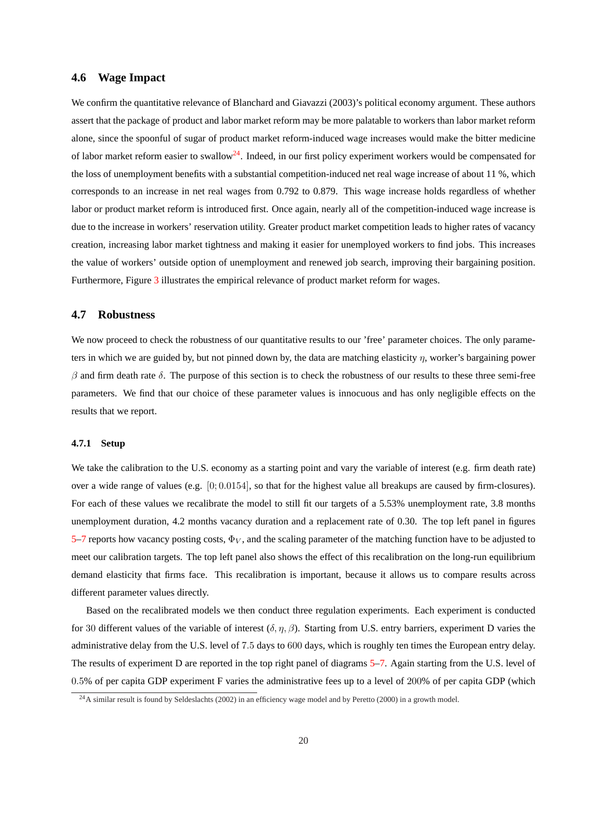#### **4.6 Wage Impact**

We confirm the quantitative relevance of Blanchard and Giavazzi (2003)'s political economy argument. These authors assert that the package of product and labor market reform may be more palatable to workers than labor market reform alone, since the spoonful of sugar of product market reform-induced wage increases would make the bitter medicine of labor market reform easier to swallow<sup>24</sup>. Indeed, in our first policy experiment workers would be compensated for the loss of unemployment benefits with a substantial competition-induced net real wage increase of about 11 %, which corresponds to an increase in net real wages from 0.792 to 0.879. This wage increase holds regardless of whether labor or product market reform is introduced first. Once again, nearly all of the competition-induced wage increase is due to the increase in workers' reservation utility. Greater product market competition leads to higher rates of vacancy creation, increasing labor market tightness and making it easier for unemployed workers to find jobs. This increases the value of workers' outside option of unemployment and renewed job search, improving their bargaining position. Furthermore, Figure [3](#page-37-0) illustrates the empirical relevance of product market reform for wages.

#### **4.7 Robustness**

We now proceed to check the robustness of our quantitative results to our 'free' parameter choices. The only parameters in which we are guided by, but not pinned down by, the data are matching elasticity  $\eta$ , worker's bargaining power  $β$  and firm death rate  $δ$ . The purpose of this section is to check the robustness of our results to these three semi-free parameters. We find that our choice of these parameter values is innocuous and has only negligible effects on the results that we report.

#### **4.7.1 Setup**

We take the calibration to the U.S. economy as a starting point and vary the variable of interest (e.g. firm death rate) over a wide range of values (e.g.  $[0; 0.0154]$ , so that for the highest value all breakups are caused by firm-closures). For each of these values we recalibrate the model to still fit our targets of a 5.53% unemployment rate, 3.8 months unemployment duration, 4.2 months vacancy duration and a replacement rate of 0.30. The top left panel in figures [5–](#page-39-0)[7](#page-41-0) reports how vacancy posting costs,  $\Phi_V$ , and the scaling parameter of the matching function have to be adjusted to meet our calibration targets. The top left panel also shows the effect of this recalibration on the long-run equilibrium demand elasticity that firms face. This recalibration is important, because it allows us to compare results across different parameter values directly.

Based on the recalibrated models we then conduct three regulation experiments. Each experiment is conducted for 30 different values of the variable of interest  $(\delta, \eta, \beta)$ . Starting from U.S. entry barriers, experiment D varies the administrative delay from the U.S. level of 7.5 days to 600 days, which is roughly ten times the European entry delay. The results of experiment D are reported in the top right panel of diagrams [5–](#page-39-0)[7.](#page-41-0) Again starting from the U.S. level of 0.5% of per capita GDP experiment F varies the administrative fees up to a level of 200% of per capita GDP (which

 $^{24}$ A similar result is found by Seldeslachts (2002) in an efficiency wage model and by Peretto (2000) in a growth model.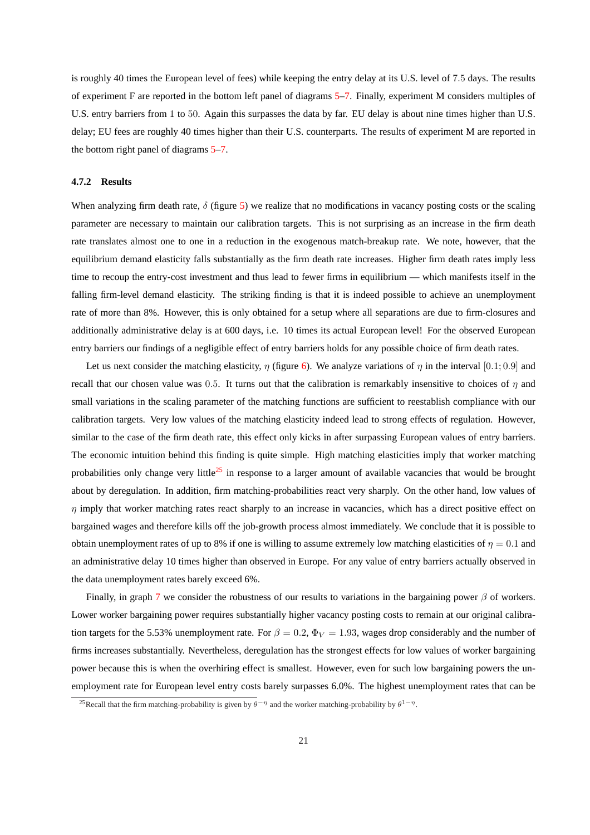is roughly 40 times the European level of fees) while keeping the entry delay at its U.S. level of 7.5 days. The results of experiment F are reported in the bottom left panel of diagrams [5–](#page-39-0)[7.](#page-41-0) Finally, experiment M considers multiples of U.S. entry barriers from 1 to 50. Again this surpasses the data by far. EU delay is about nine times higher than U.S. delay; EU fees are roughly 40 times higher than their U.S. counterparts. The results of experiment M are reported in the bottom right panel of diagrams [5–](#page-39-0)[7.](#page-41-0)

#### **4.7.2 Results**

When analyzing firm death rate,  $\delta$  (figure [5\)](#page-39-0) we realize that no modifications in vacancy posting costs or the scaling parameter are necessary to maintain our calibration targets. This is not surprising as an increase in the firm death rate translates almost one to one in a reduction in the exogenous match-breakup rate. We note, however, that the equilibrium demand elasticity falls substantially as the firm death rate increases. Higher firm death rates imply less time to recoup the entry-cost investment and thus lead to fewer firms in equilibrium — which manifests itself in the falling firm-level demand elasticity. The striking finding is that it is indeed possible to achieve an unemployment rate of more than 8%. However, this is only obtained for a setup where all separations are due to firm-closures and additionally administrative delay is at 600 days, i.e. 10 times its actual European level! For the observed European entry barriers our findings of a negligible effect of entry barriers holds for any possible choice of firm death rates.

Let us next consider the matching elasticity,  $\eta$  (figure [6\)](#page-40-0). We analyze variations of  $\eta$  in the interval [0.1; 0.9] and recall that our chosen value was 0.5. It turns out that the calibration is remarkably insensitive to choices of  $\eta$  and small variations in the scaling parameter of the matching functions are sufficient to reestablish compliance with our calibration targets. Very low values of the matching elasticity indeed lead to strong effects of regulation. However, similar to the case of the firm death rate, this effect only kicks in after surpassing European values of entry barriers. The economic intuition behind this finding is quite simple. High matching elasticities imply that worker matching probabilities only change very little<sup>25</sup> in response to a larger amount of available vacancies that would be brought about by deregulation. In addition, firm matching-probabilities react very sharply. On the other hand, low values of  $\eta$  imply that worker matching rates react sharply to an increase in vacancies, which has a direct positive effect on bargained wages and therefore kills off the job-growth process almost immediately. We conclude that it is possible to obtain unemployment rates of up to 8% if one is willing to assume extremely low matching elasticities of  $\eta = 0.1$  and an administrative delay 10 times higher than observed in Europe. For any value of entry barriers actually observed in the data unemployment rates barely exceed 6%.

Finally, in graph [7](#page-41-0) we consider the robustness of our results to variations in the bargaining power  $\beta$  of workers. Lower worker bargaining power requires substantially higher vacancy posting costs to remain at our original calibration targets for the 5.53% unemployment rate. For  $\beta = 0.2$ ,  $\Phi_V = 1.93$ , wages drop considerably and the number of firms increases substantially. Nevertheless, deregulation has the strongest effects for low values of worker bargaining power because this is when the overhiring effect is smallest. However, even for such low bargaining powers the unemployment rate for European level entry costs barely surpasses 6.0%. The highest unemployment rates that can be

<sup>&</sup>lt;sup>25</sup>Recall that the firm matching-probability is given by  $\theta^{-\eta}$  and the worker matching-probability by  $\theta^{1-\eta}$ .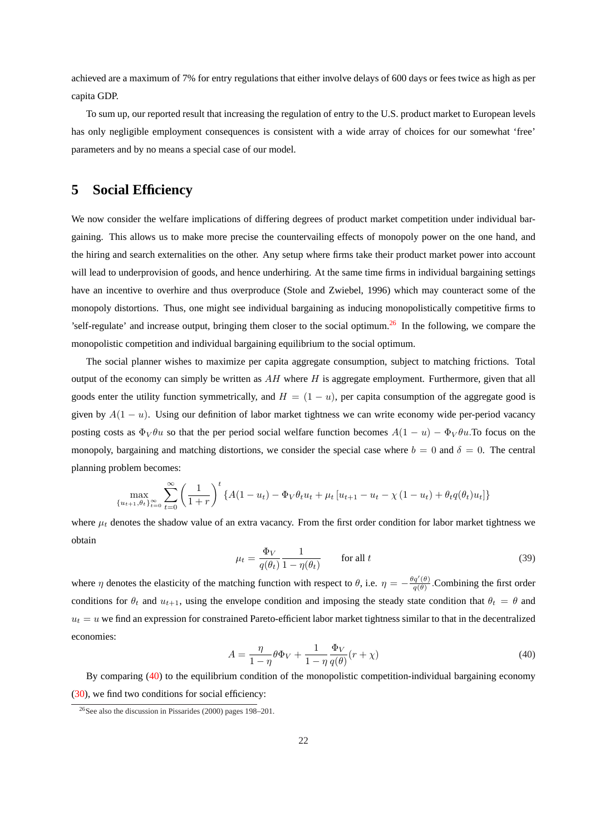<span id="page-23-0"></span>achieved are a maximum of 7% for entry regulations that either involve delays of 600 days or fees twice as high as per capita GDP.

To sum up, our reported result that increasing the regulation of entry to the U.S. product market to European levels has only negligible employment consequences is consistent with a wide array of choices for our somewhat 'free' parameters and by no means a special case of our model.

# **5 Social Efficiency**

We now consider the welfare implications of differing degrees of product market competition under individual bargaining. This allows us to make more precise the countervailing effects of monopoly power on the one hand, and the hiring and search externalities on the other. Any setup where firms take their product market power into account will lead to underprovision of goods, and hence underhiring. At the same time firms in individual bargaining settings have an incentive to overhire and thus overproduce (Stole and Zwiebel, 1996) which may counteract some of the monopoly distortions. Thus, one might see individual bargaining as inducing monopolistically competitive firms to 'self-regulate' and increase output, bringing them closer to the social optimum.<sup>26</sup> In the following, we compare the monopolistic competition and individual bargaining equilibrium to the social optimum.

The social planner wishes to maximize per capita aggregate consumption, subject to matching frictions. Total output of the economy can simply be written as  $AH$  where  $H$  is aggregate employment. Furthermore, given that all goods enter the utility function symmetrically, and  $H = (1 - u)$ , per capita consumption of the aggregate good is given by  $A(1 - u)$ . Using our definition of labor market tightness we can write economy wide per-period vacancy posting costs as  $\Phi_V \theta u$  so that the per period social welfare function becomes  $A(1 - u) - \Phi_V \theta u$ . To focus on the monopoly, bargaining and matching distortions, we consider the special case where  $b = 0$  and  $\delta = 0$ . The central planning problem becomes:

$$
\max_{\{u_{t+1}, \theta_t\}_{t=0}^{\infty}} \sum_{t=0}^{\infty} \left(\frac{1}{1+r}\right)^t \{A(1-u_t) - \Phi_V \theta_t u_t + \mu_t [u_{t+1} - u_t - \chi (1-u_t) + \theta_t q(\theta_t) u_t] \}
$$

where  $\mu_t$  denotes the shadow value of an extra vacancy. From the first order condition for labor market tightness we obtain

$$
\mu_t = \frac{\Phi_V}{q(\theta_t)} \frac{1}{1 - \eta(\theta_t)} \qquad \text{for all } t \tag{39}
$$

where  $\eta$  denotes the elasticity of the matching function with respect to  $\theta$ , i.e.  $\eta = -\frac{\theta q'(\theta)}{q(\theta)}$  $\frac{q(\theta)}{q(\theta)}$ . Combining the first order conditions for  $\theta_t$  and  $u_{t+1}$ , using the envelope condition and imposing the steady state condition that  $\theta_t = \theta$  and  $u_t = u$  we find an expression for constrained Pareto-efficient labor market tightness similar to that in the decentralized economies:

$$
A = \frac{\eta}{1 - \eta} \theta \Phi_V + \frac{1}{1 - \eta} \frac{\Phi_V}{q(\theta)} (r + \chi)
$$
\n<sup>(40)</sup>

By comparing (40) to the equilibrium condition of the monopolistic competition-individual bargaining economy [\(30\)](#page-13-0), we find two conditions for social efficiency:

<sup>26</sup>See also the discussion in Pissarides (2000) pages 198–201.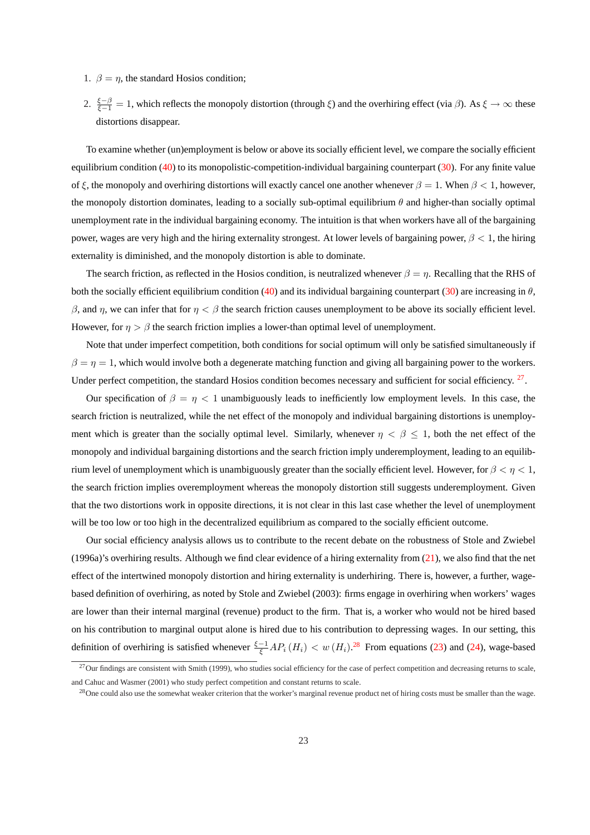- 1.  $\beta = \eta$ , the standard Hosios condition;
- 2.  $\frac{\xi-\beta}{\xi-1} = 1$ , which reflects the monopoly distortion (through  $\xi$ ) and the overhiring effect (via  $\beta$ ). As  $\xi \to \infty$  these distortions disappear.

To examine whether (un)employment is below or above its socially efficient level, we compare the socially efficient equilibrium condition  $(40)$  to its monopolistic-competition-individual bargaining counterpart  $(30)$ . For any finite value of ξ, the monopoly and overhiring distortions will exactly cancel one another whenever  $\beta = 1$ . When  $\beta < 1$ , however, the monopoly distortion dominates, leading to a socially sub-optimal equilibrium  $\theta$  and higher-than socially optimal unemployment rate in the individual bargaining economy. The intuition is that when workers have all of the bargaining power, wages are very high and the hiring externality strongest. At lower levels of bargaining power,  $\beta < 1$ , the hiring externality is diminished, and the monopoly distortion is able to dominate.

The search friction, as reflected in the Hosios condition, is neutralized whenever  $\beta = \eta$ . Recalling that the RHS of both the socially efficient equilibrium condition [\(40\)](#page-23-0) and its individual bargaining counterpart [\(30\)](#page-13-0) are increasing in  $\theta$ , β, and η, we can infer that for  $η < β$  the search friction causes unemployment to be above its socially efficient level. However, for  $\eta > \beta$  the search friction implies a lower-than optimal level of unemployment.

Note that under imperfect competition, both conditions for social optimum will only be satisfied simultaneously if  $\beta = \eta = 1$ , which would involve both a degenerate matching function and giving all bargaining power to the workers. Under perfect competition, the standard Hosios condition becomes necessary and sufficient for social efficiency. <sup>27</sup>.

Our specification of  $\beta = \eta < 1$  unambiguously leads to inefficiently low employment levels. In this case, the search friction is neutralized, while the net effect of the monopoly and individual bargaining distortions is unemployment which is greater than the socially optimal level. Similarly, whenever  $\eta < \beta \leq 1$ , both the net effect of the monopoly and individual bargaining distortions and the search friction imply underemployment, leading to an equilibrium level of unemployment which is unambiguously greater than the socially efficient level. However, for  $\beta < \eta < 1$ , the search friction implies overemployment whereas the monopoly distortion still suggests underemployment. Given that the two distortions work in opposite directions, it is not clear in this last case whether the level of unemployment will be too low or too high in the decentralized equilibrium as compared to the socially efficient outcome.

Our social efficiency analysis allows us to contribute to the recent debate on the robustness of Stole and Zwiebel (1996a)'s overhiring results. Although we find clear evidence of a hiring externality from [\(21\)](#page-10-0), we also find that the net effect of the intertwined monopoly distortion and hiring externality is underhiring. There is, however, a further, wagebased definition of overhiring, as noted by Stole and Zwiebel (2003): firms engage in overhiring when workers' wages are lower than their internal marginal (revenue) product to the firm. That is, a worker who would not be hired based on his contribution to marginal output alone is hired due to his contribution to depressing wages. In our setting, this definition of overhiring is satisfied whenever  $\frac{\xi-1}{\xi}AP_i(H_i) < w(H_i)$ .<sup>28</sup> From equations [\(23\)](#page-12-0) and [\(24\)](#page-12-0), wage-based

 $^{27}$ Our findings are consistent with Smith (1999), who studies social efficiency for the case of perfect competition and decreasing returns to scale, and Cahuc and Wasmer (2001) who study perfect competition and constant returns to scale.

<sup>&</sup>lt;sup>28</sup>One could also use the somewhat weaker criterion that the worker's marginal revenue product net of hiring costs must be smaller than the wage.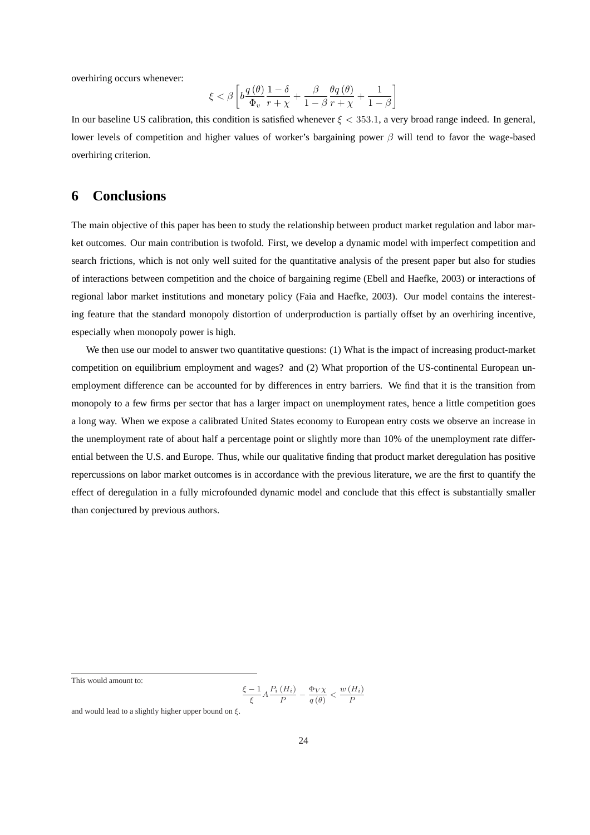overhiring occurs whenever:

$$
\xi < \beta \left[ b \frac{q(\theta)}{\Phi_v} \frac{1-\delta}{r+\chi} + \frac{\beta}{1-\beta} \frac{\theta q(\theta)}{r+\chi} + \frac{1}{1-\beta} \right]
$$

In our baseline US calibration, this condition is satisfied whenever  $\xi < 353.1$ , a very broad range indeed. In general, lower levels of competition and higher values of worker's bargaining power  $\beta$  will tend to favor the wage-based overhiring criterion.

## **6 Conclusions**

The main objective of this paper has been to study the relationship between product market regulation and labor market outcomes. Our main contribution is twofold. First, we develop a dynamic model with imperfect competition and search frictions, which is not only well suited for the quantitative analysis of the present paper but also for studies of interactions between competition and the choice of bargaining regime (Ebell and Haefke, 2003) or interactions of regional labor market institutions and monetary policy (Faia and Haefke, 2003). Our model contains the interesting feature that the standard monopoly distortion of underproduction is partially offset by an overhiring incentive, especially when monopoly power is high.

We then use our model to answer two quantitative questions: (1) What is the impact of increasing product-market competition on equilibrium employment and wages? and (2) What proportion of the US-continental European unemployment difference can be accounted for by differences in entry barriers. We find that it is the transition from monopoly to a few firms per sector that has a larger impact on unemployment rates, hence a little competition goes a long way. When we expose a calibrated United States economy to European entry costs we observe an increase in the unemployment rate of about half a percentage point or slightly more than 10% of the unemployment rate differential between the U.S. and Europe. Thus, while our qualitative finding that product market deregulation has positive repercussions on labor market outcomes is in accordance with the previous literature, we are the first to quantify the effect of deregulation in a fully microfounded dynamic model and conclude that this effect is substantially smaller than conjectured by previous authors.

This would amount to:

$$
\frac{\xi-1}{\xi}A\frac{P_i(H_i)}{P} - \frac{\Phi_V \chi}{q(\theta)} < \frac{w(H_i)}{P}
$$

and would lead to a slightly higher upper bound on  $\xi$ .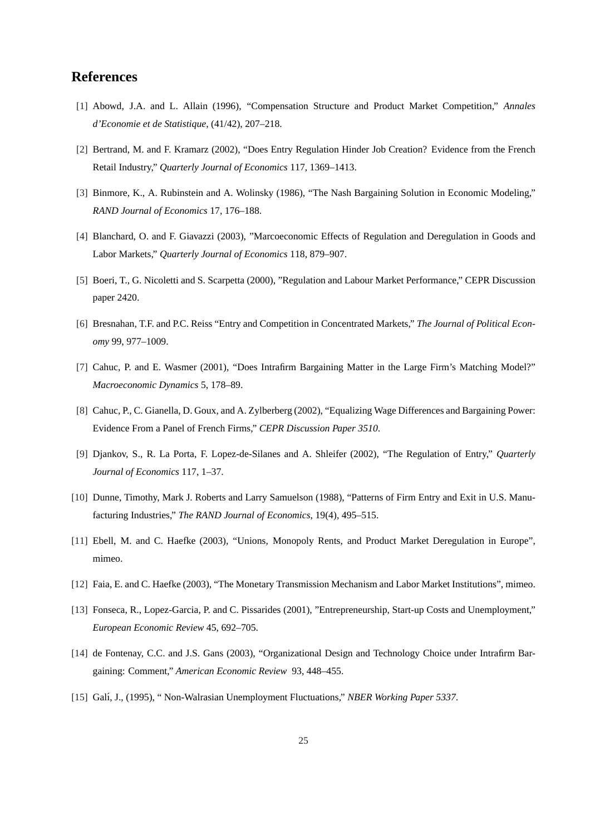## **References**

- [1] Abowd, J.A. and L. Allain (1996), "Compensation Structure and Product Market Competition," *Annales d'Economie et de Statistique*, (41/42), 207–218.
- [2] Bertrand, M. and F. Kramarz (2002), "Does Entry Regulation Hinder Job Creation? Evidence from the French Retail Industry," *Quarterly Journal of Economics* 117, 1369–1413.
- [3] Binmore, K., A. Rubinstein and A. Wolinsky (1986), "The Nash Bargaining Solution in Economic Modeling," *RAND Journal of Economics* 17, 176–188.
- [4] Blanchard, O. and F. Giavazzi (2003), "Marcoeconomic Effects of Regulation and Deregulation in Goods and Labor Markets," *Quarterly Journal of Economics* 118, 879–907.
- [5] Boeri, T., G. Nicoletti and S. Scarpetta (2000), "Regulation and Labour Market Performance," CEPR Discussion paper 2420.
- [6] Bresnahan, T.F. and P.C. Reiss "Entry and Competition in Concentrated Markets," *The Journal of Political Economy* 99, 977–1009.
- [7] Cahuc, P. and E. Wasmer (2001), "Does Intrafirm Bargaining Matter in the Large Firm's Matching Model?" *Macroeconomic Dynamics* 5, 178–89.
- [8] Cahuc, P., C. Gianella, D. Goux, and A. Zylberberg (2002), "Equalizing Wage Differences and Bargaining Power: Evidence From a Panel of French Firms," *CEPR Discussion Paper 3510*.
- [9] Djankov, S., R. La Porta, F. Lopez-de-Silanes and A. Shleifer (2002), "The Regulation of Entry," *Quarterly Journal of Economics* 117, 1–37.
- [10] Dunne, Timothy, Mark J. Roberts and Larry Samuelson (1988), "Patterns of Firm Entry and Exit in U.S. Manufacturing Industries," *The RAND Journal of Economics*, 19(4), 495–515.
- [11] Ebell, M. and C. Haefke (2003), "Unions, Monopoly Rents, and Product Market Deregulation in Europe", mimeo.
- [12] Faia, E. and C. Haefke (2003), "The Monetary Transmission Mechanism and Labor Market Institutions", mimeo.
- [13] Fonseca, R., Lopez-Garcia, P. and C. Pissarides (2001), "Entrepreneurship, Start-up Costs and Unemployment," *European Economic Review* 45, 692–705.
- [14] de Fontenay, C.C. and J.S. Gans (2003), "Organizational Design and Technology Choice under Intrafirm Bargaining: Comment," *American Economic Review* 93, 448–455.
- [15] Gal´ı, J., (1995), " Non-Walrasian Unemployment Fluctuations," *NBER Working Paper 5337*.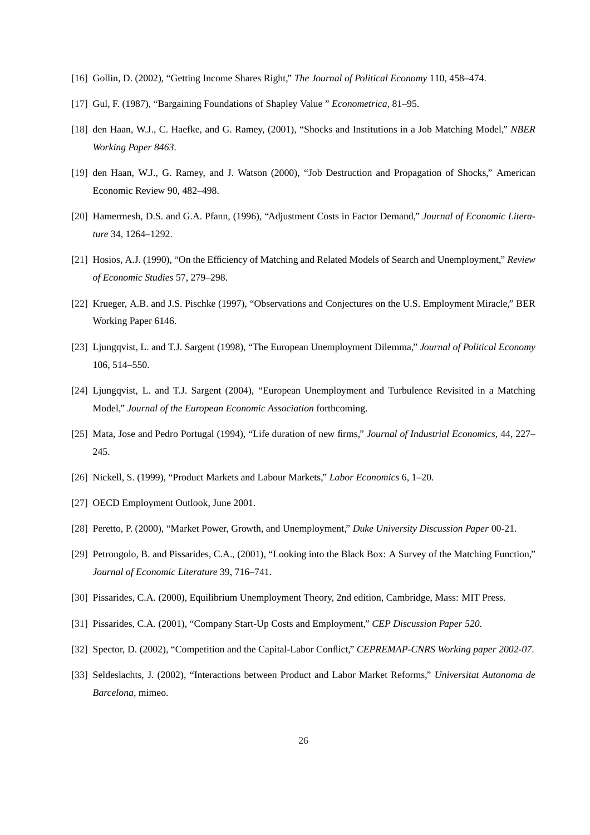- [16] Gollin, D. (2002), "Getting Income Shares Right," *The Journal of Political Economy* 110, 458–474.
- [17] Gul, F. (1987), "Bargaining Foundations of Shapley Value " *Econometrica*, 81–95.
- [18] den Haan, W.J., C. Haefke, and G. Ramey, (2001), "Shocks and Institutions in a Job Matching Model," *NBER Working Paper 8463*.
- [19] den Haan, W.J., G. Ramey, and J. Watson (2000), "Job Destruction and Propagation of Shocks," American Economic Review 90, 482–498.
- [20] Hamermesh, D.S. and G.A. Pfann, (1996), "Adjustment Costs in Factor Demand," *Journal of Economic Literature* 34, 1264–1292.
- [21] Hosios, A.J. (1990), "On the Efficiency of Matching and Related Models of Search and Unemployment," *Review of Economic Studies* 57, 279–298.
- [22] Krueger, A.B. and J.S. Pischke (1997), "Observations and Conjectures on the U.S. Employment Miracle," BER Working Paper 6146.
- [23] Ljungqvist, L. and T.J. Sargent (1998), "The European Unemployment Dilemma," *Journal of Political Economy* 106, 514–550.
- [24] Ljungqvist, L. and T.J. Sargent (2004), "European Unemployment and Turbulence Revisited in a Matching Model," *Journal of the European Economic Association* forthcoming.
- [25] Mata, Jose and Pedro Portugal (1994), "Life duration of new firms," *Journal of Industrial Economics*, 44, 227– 245.
- [26] Nickell, S. (1999), "Product Markets and Labour Markets," *Labor Economics* 6, 1–20.
- [27] OECD Employment Outlook, June 2001.
- [28] Peretto, P. (2000), "Market Power, Growth, and Unemployment," *Duke University Discussion Paper* 00-21.
- [29] Petrongolo, B. and Pissarides, C.A., (2001), "Looking into the Black Box: A Survey of the Matching Function," *Journal of Economic Literature* 39, 716–741.
- [30] Pissarides, C.A. (2000), Equilibrium Unemployment Theory, 2nd edition, Cambridge, Mass: MIT Press.
- [31] Pissarides, C.A. (2001), "Company Start-Up Costs and Employment," *CEP Discussion Paper 520*.
- [32] Spector, D. (2002), "Competition and the Capital-Labor Conflict," *CEPREMAP-CNRS Working paper 2002-07*.
- [33] Seldeslachts, J. (2002), "Interactions between Product and Labor Market Reforms," *Universitat Autonoma de Barcelona,* mimeo.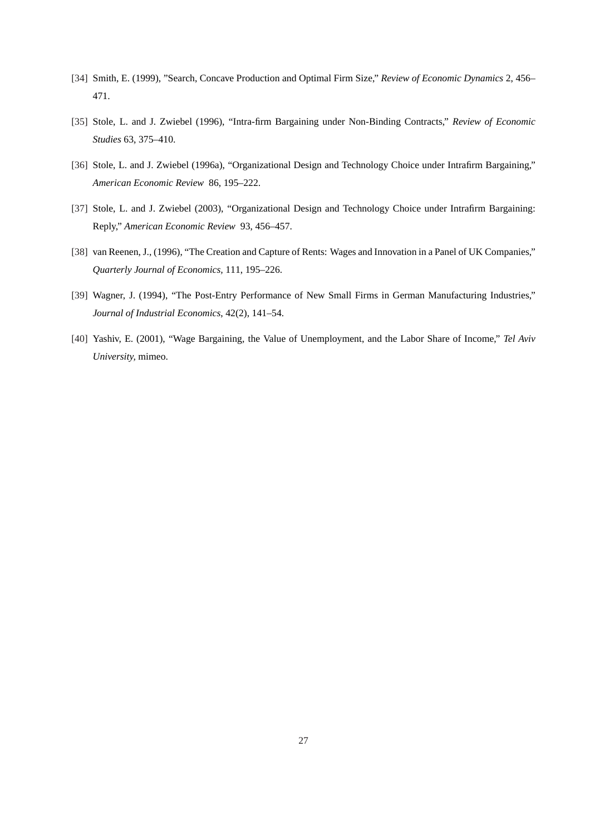- [34] Smith, E. (1999), "Search, Concave Production and Optimal Firm Size," *Review of Economic Dynamics* 2, 456– 471.
- [35] Stole, L. and J. Zwiebel (1996), "Intra-firm Bargaining under Non-Binding Contracts," *Review of Economic Studies* 63, 375–410.
- [36] Stole, L. and J. Zwiebel (1996a), "Organizational Design and Technology Choice under Intrafirm Bargaining," *American Economic Review* 86, 195–222.
- [37] Stole, L. and J. Zwiebel (2003), "Organizational Design and Technology Choice under Intrafirm Bargaining: Reply," *American Economic Review* 93, 456–457.
- [38] van Reenen, J., (1996), "The Creation and Capture of Rents: Wages and Innovation in a Panel of UK Companies," *Quarterly Journal of Economics,* 111, 195–226.
- [39] Wagner, J. (1994), "The Post-Entry Performance of New Small Firms in German Manufacturing Industries," *Journal of Industrial Economics*, 42(2), 141–54.
- [40] Yashiv, E. (2001), "Wage Bargaining, the Value of Unemployment, and the Labor Share of Income," *Tel Aviv University,* mimeo.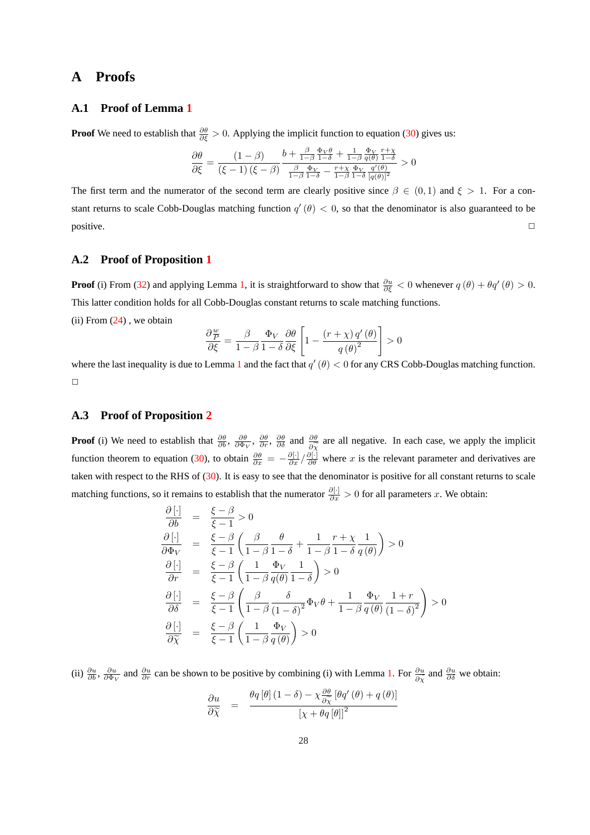## **A Proofs**

#### **A.1 Proof of Lemma [1](#page-14-0)**

**Proof** We need to establish that  $\frac{\partial \theta}{\partial \xi} > 0$ . Applying the implicit function to equation [\(30\)](#page-13-0) gives us:

$$
\frac{\partial \theta}{\partial \xi} = \frac{(1-\beta)}{(\xi-1)\left(\xi-\beta\right)} \frac{b+\frac{\beta}{1-\beta}\frac{\Phi_V \theta}{1-\delta} + \frac{1}{1-\beta}\frac{\Phi_V}{q(\theta)}\frac{r+\chi}{1-\delta}}{\frac{\beta}{1-\beta}\frac{\Phi_V}{1-\delta} - \frac{r+\chi}{1-\beta}\frac{\Phi_V}{1-\delta}\frac{q'(\theta)}{[q(\theta)]^2}} > 0
$$

The first term and the numerator of the second term are clearly positive since  $\beta \in (0,1)$  and  $\xi > 1$ . For a constant returns to scale Cobb-Douglas matching function  $q'(\theta) < 0$ , so that the denominator is also guaranteed to be  $\Box$ positive.  $\Box$ 

#### **A.2 Proof of Proposition [1](#page-14-0)**

**Proof** (i) From [\(32\)](#page-13-0) and applying Lemma [1,](#page-14-0) it is straightforward to show that  $\frac{\partial u}{\partial \xi} < 0$  whenever  $q(\theta) + \theta q'(\theta) > 0$ . This latter condition holds for all Cobb-Douglas constant returns to scale matching functions.

(ii) From  $(24)$ , we obtain

$$
\frac{\partial \frac{w}{P}}{\partial \xi} = \frac{\beta}{1 - \beta} \frac{\Phi_V}{1 - \delta} \frac{\partial \theta}{\partial \xi} \left[ 1 - \frac{(r + \chi) q'(\theta)}{q(\theta)^2} \right] > 0
$$

where the last inequality is due to Lemma [1](#page-14-0) and the fact that  $q'(\theta) < 0$  for any CRS Cobb-Douglas matching function.  $\Box$ 

#### **A.3 Proof of Proposition [2](#page-15-0)**

**Proof** (i) We need to establish that  $\frac{\partial \theta}{\partial b}$ ,  $\frac{\partial \theta}{\partial \Phi}$ ,  $\frac{\partial \theta}{\partial r}$ ,  $\frac{\partial \theta}{\partial \delta}$  and  $\frac{\partial \theta}{\partial \tilde{\chi}}$  are all negative. In each case, we apply the implicit function theorem to equation [\(30\)](#page-13-0), to obtain  $\frac{\partial \theta}{\partial x} = -\frac{\partial[\cdot]}{\partial x} / \frac{\partial[\cdot]}{\partial \theta}$  where x is the relevant parameter and derivatives are taken with respect to the RHS of [\(30\)](#page-13-0). It is easy to see that the denominator is positive for all constant returns to scale matching functions, so it remains to establish that the numerator  $\frac{\partial[\cdot]}{\partial x} > 0$  for all parameters x. We obtain:

$$
\begin{array}{rcl}\n\frac{\partial [\cdot]}{\partial b} & = & \frac{\xi - \beta}{\xi - 1} > 0 \\
\frac{\partial [\cdot]}{\partial \Phi_V} & = & \frac{\xi - \beta}{\xi - 1} \left( \frac{\beta}{1 - \beta} \frac{\theta}{1 - \delta} + \frac{1}{1 - \beta} \frac{r + \chi}{1 - \delta} \frac{1}{q(\theta)} \right) > 0 \\
\frac{\partial [\cdot]}{\partial r} & = & \frac{\xi - \beta}{\xi - 1} \left( \frac{1}{1 - \beta} \frac{\Phi_V}{q(\theta)} \frac{1}{1 - \delta} \right) > 0 \\
\frac{\partial [\cdot]}{\partial \delta} & = & \frac{\xi - \beta}{\xi - 1} \left( \frac{\beta}{1 - \beta} \frac{\delta}{(1 - \delta)^2} \Phi_V \theta + \frac{1}{1 - \beta} \frac{\Phi_V}{q(\theta)} \frac{1 + r}{(1 - \delta)^2} \right) > 0 \\
\frac{\partial [\cdot]}{\partial \widetilde{\chi}} & = & \frac{\xi - \beta}{\xi - 1} \left( \frac{1}{1 - \beta} \frac{\Phi_V}{q(\theta)} \right) > 0\n\end{array}
$$

(ii)  $\frac{\partial u}{\partial b}$ ,  $\frac{\partial u}{\partial \phi}$  and  $\frac{\partial u}{\partial r}$  can be shown to be positive by combining (i) with Lemma [1.](#page-14-0) For  $\frac{\partial u}{\partial \tilde{\chi}}$  and  $\frac{\partial u}{\partial \delta}$  we obtain:

$$
\frac{\partial u}{\partial \tilde{\chi}} = \frac{\theta q [\theta] (1 - \delta) - \chi \frac{\partial \theta}{\partial \tilde{\chi}} [\theta q' (\theta) + q (\theta)]}{\left[\chi + \theta q [\theta]\right]^2}
$$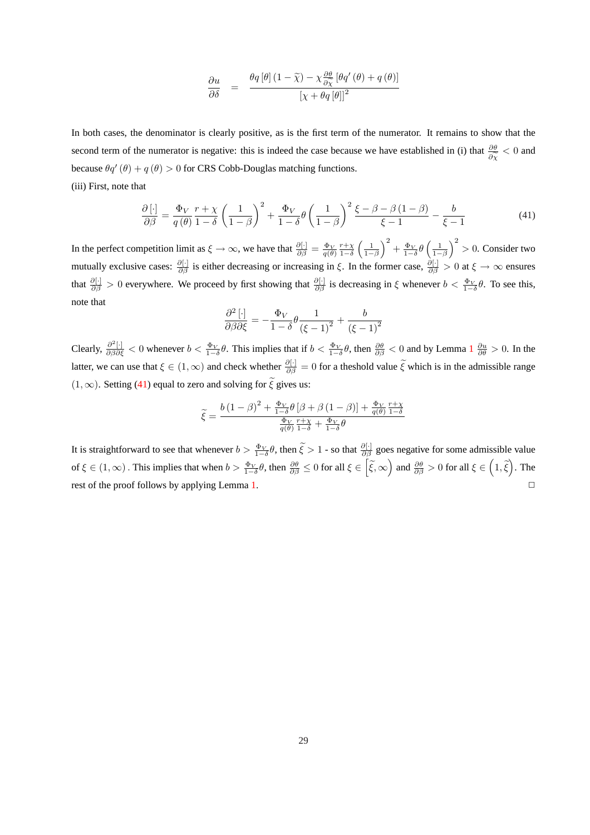$$
\frac{\partial u}{\partial \delta} = \frac{\theta q [\theta] (1 - \widetilde{\chi}) - \chi \frac{\partial \theta}{\partial \widetilde{\chi}} [\theta q' (\theta) + q (\theta)]}{\left[\chi + \theta q [\theta]\right]^2}
$$

In both cases, the denominator is clearly positive, as is the first term of the numerator. It remains to show that the second term of the numerator is negative: this is indeed the case because we have established in (i) that  $\frac{\partial \theta}{\partial \chi}$  < 0 and because  $\theta q'(\theta) + q(\theta) > 0$  for CRS Cobb-Douglas matching functions.

(iii) First, note that

$$
\frac{\partial \left[\cdot\right]}{\partial \beta} = \frac{\Phi_V}{q(\theta)} \frac{r + \chi}{1 - \delta} \left(\frac{1}{1 - \beta}\right)^2 + \frac{\Phi_V}{1 - \delta} \theta \left(\frac{1}{1 - \beta}\right)^2 \frac{\xi - \beta - \beta(1 - \beta)}{\xi - 1} - \frac{b}{\xi - 1} \tag{41}
$$

In the perfect competition limit as  $\xi \to \infty$ , we have that  $\frac{\partial[\cdot]}{\partial \beta} = \frac{\Phi_V}{q(\theta)} \frac{r + \chi}{1 - \delta}$  $\left(\frac{1}{1-\beta}\right)$  $\sqrt{2}$  $+\frac{\Phi_V}{1-\delta}\theta$  $\left(\frac{1}{1-\beta}\right)$  $\sqrt{2}$ > 0. Consider two mutually exclusive cases:  $\frac{\partial[\cdot]}{\partial\beta}$  is either decreasing or increasing in  $\xi$ . In the former case,  $\frac{\partial[\cdot]}{\partial\beta} > 0$  at  $\xi \to \infty$  ensures that  $\frac{\partial[\cdot]}{\partial\beta} > 0$  everywhere. We proceed by first showing that  $\frac{\partial[\cdot]}{\partial\beta}$  is decreasing in  $\xi$  whenever  $b < \frac{\Phi_V}{1-\delta}\theta$ . To see this, note that

$$
\frac{\partial^2 \left[\cdot\right]}{\partial \beta \partial \xi} = -\frac{\Phi_V}{1 - \delta} \theta \frac{1}{\left(\xi - 1\right)^2} + \frac{b}{\left(\xi - 1\right)^2}
$$

Clearly,  $\frac{\partial^2[\cdot]}{\partial\beta\partial\xi} < 0$  whenever  $b < \frac{\Phi_V}{1-\delta}\theta$  $b < \frac{\Phi_V}{1-\delta}\theta$  $b < \frac{\Phi_V}{1-\delta}\theta$ . This implies that if  $b < \frac{\Phi_V}{1-\delta}\theta$ , then  $\frac{\partial\theta}{\partial\beta} < 0$  and by Lemma  $1 \frac{\partial u}{\partial\theta} > 0$ . In the latter, we can use that  $\xi \in (1,\infty)$  and check whether  $\frac{\partial[\cdot]}{\partial \beta} = 0$  for a theshold value  $\tilde{\xi}$  which is in the admissible range  $(1, \infty)$ . Setting (41) equal to zero and solving for  $\tilde{\xi}$  gives us:

$$
\tilde{\xi} = \frac{b\left(1-\beta\right)^2 + \frac{\Phi_V}{1-\delta}\theta\left[\beta + \beta\left(1-\beta\right)\right] + \frac{\Phi_V}{q(\theta)}\frac{r+\chi}{1-\delta}}{\frac{\Phi_V}{q(\theta)}\frac{r+\chi}{1-\delta} + \frac{\Phi_V}{1-\delta}\theta}
$$

It is straightforward to see that whenever  $b > \frac{\Phi_V}{1-\delta}\theta$ , then  $\tilde{\xi} > 1$  - so that  $\frac{\partial[\cdot]}{\partial \beta}$  goes negative for some admissible value of  $\xi \in (1,\infty)$ . This implies that when  $b > \frac{\Phi_V}{1-\delta}\theta$ , then  $\frac{\partial \theta}{\partial \beta} \le 0$  for all  $\xi \in$ h  $\widetilde{\xi}, \infty$ ´ and  $\frac{\partial \theta}{\partial \beta} > 0$  for all  $\xi \in$  $\frac{1}{2}$  $1,\widetilde{\xi}$ ´ . The rest of the proof follows by applying Lemma [1.](#page-14-0)  $\Box$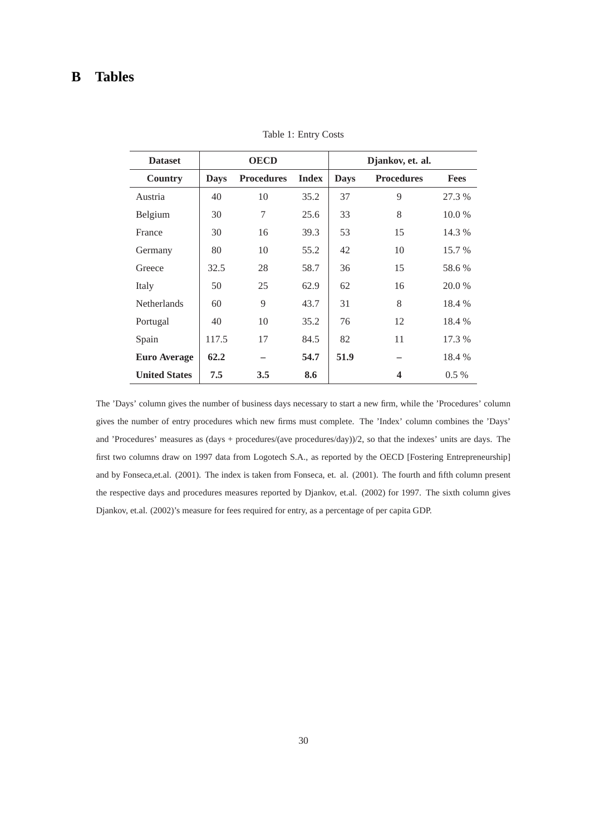# <span id="page-31-0"></span>**B Tables**

| <b>Dataset</b>       | <b>OECD</b> |                   |              | Djankov, et. al.                 |                         |             |
|----------------------|-------------|-------------------|--------------|----------------------------------|-------------------------|-------------|
| <b>Country</b>       | <b>Days</b> | <b>Procedures</b> | <b>Index</b> | <b>Days</b><br><b>Procedures</b> |                         | <b>Fees</b> |
| Austria              | 40          | 10                | 35.2         | 37                               | 9                       | 27.3 %      |
| Belgium              | 30          | 7                 | 25.6         | 33                               | 8                       | 10.0 %      |
| France               | 30          | 16                | 39.3         | 53                               | 15                      | 14.3 %      |
| Germany              | 80          | 10                | 55.2         | 42                               | 10                      | 15.7 %      |
| Greece               | 32.5        | 28                | 58.7         | 36                               | 15                      | 58.6 %      |
| Italy                | 50          | 25                | 62.9         | 62                               | 16                      | 20.0 %      |
| <b>Netherlands</b>   | 60          | 9                 | 43.7         | 31                               | 8                       | 18.4 %      |
| Portugal             | 40          | 10                | 35.2         | 76                               | 12                      | 18.4 %      |
| Spain                | 117.5       | 17                | 84.5         | 82                               | 11                      | 17.3 %      |
| <b>Euro Average</b>  | 62.2        |                   | 54.7         | 51.9                             |                         | 18.4 %      |
| <b>United States</b> | 7.5         | 3.5               | 8.6          |                                  | $\overline{\mathbf{4}}$ | $0.5\%$     |

Table 1: Entry Costs

The 'Days' column gives the number of business days necessary to start a new firm, while the 'Procedures' column gives the number of entry procedures which new firms must complete. The 'Index' column combines the 'Days' and 'Procedures' measures as (days + procedures/(ave procedures/day))/2, so that the indexes' units are days. The first two columns draw on 1997 data from Logotech S.A., as reported by the OECD [Fostering Entrepreneurship] and by Fonseca,et.al. (2001). The index is taken from Fonseca, et. al. (2001). The fourth and fifth column present the respective days and procedures measures reported by Djankov, et.al. (2002) for 1997. The sixth column gives Djankov, et.al. (2002)'s measure for fees required for entry, as a percentage of per capita GDP.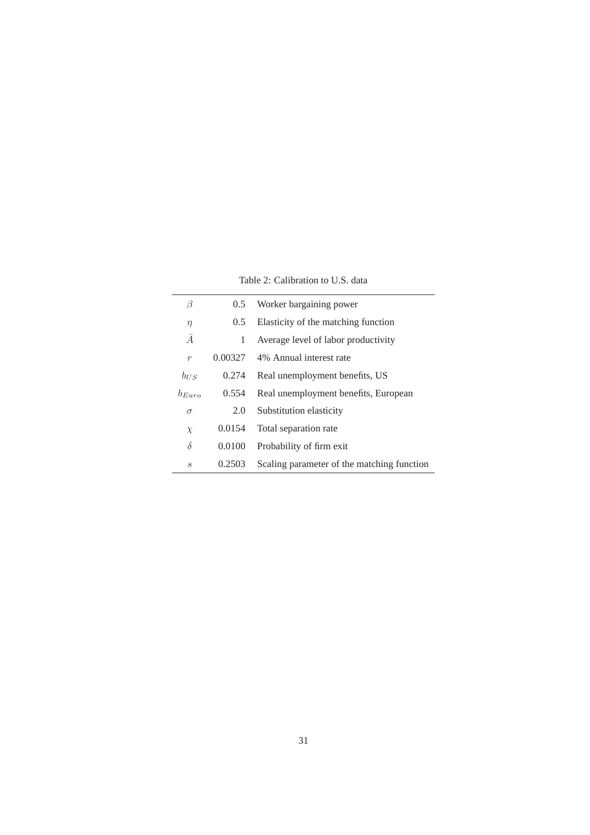Table 2: Calibration to U.S. data

<span id="page-32-0"></span>

| β                 | $0.5^{\circ}$ | Worker bargaining power                    |
|-------------------|---------------|--------------------------------------------|
| $\eta$            | $0.5^{\circ}$ | Elasticity of the matching function        |
| $\overline{A}$    | 1             | Average level of labor productivity        |
| $\boldsymbol{r}$  | 0.00327       | 4% Annual interest rate                    |
| $b_{\text{U}}$ s  | 0.274         | Real unemployment benefits, US             |
| $b_{Euro}$        | 0.554         | Real unemployment benefits, European       |
| $\sigma$          | 2.0           | Substitution elasticity                    |
| $\chi$            | 0.0154        | Total separation rate                      |
| $\delta$          | 0.0100        | Probability of firm exit                   |
| $\mathcal{S}_{0}$ | 0.2503        | Scaling parameter of the matching function |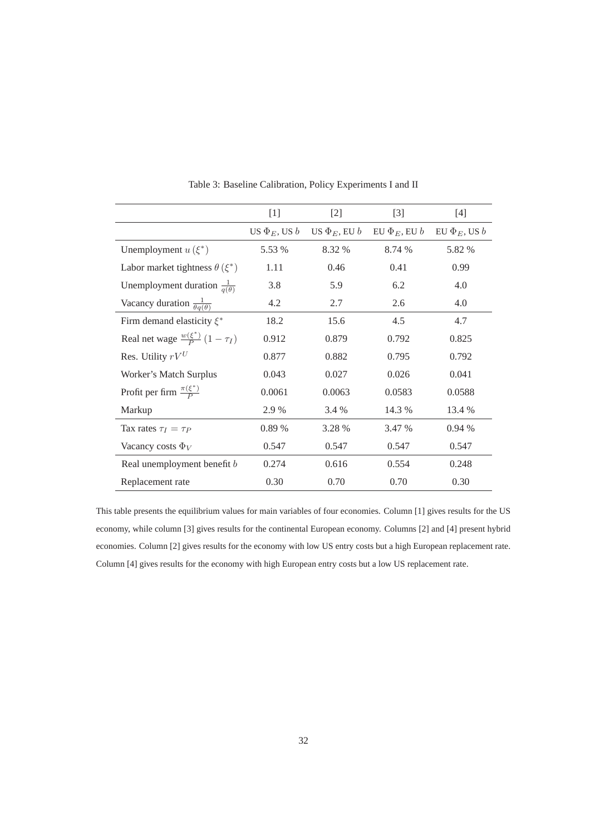<span id="page-33-0"></span>

|                                               | $[1]$                | $[2]$                | $[3]$                | $[4]$                |
|-----------------------------------------------|----------------------|----------------------|----------------------|----------------------|
|                                               | US $\Phi_E$ , US $b$ | US $\Phi_E$ , EU $b$ | EU $\Phi_E$ , EU $b$ | EU $\Phi_E$ , US $b$ |
| Unemployment $u(\xi^*)$                       | 5.53 %               | 8.32 %               | 8.74 %               | 5.82 %               |
| Labor market tightness $\theta(\xi^*)$        | 1.11                 | 0.46                 | 0.41                 | 0.99                 |
| Unemployment duration $\frac{1}{q(\theta)}$   | 3.8                  | 5.9                  | 6.2                  | 4.0                  |
| Vacancy duration $\frac{1}{\theta q(\theta)}$ | 4.2                  | 2.7                  | 2.6                  | 4.0                  |
| Firm demand elasticity $\xi^*$                | 18.2                 | 15.6                 | 4.5                  | 4.7                  |
| Real net wage $\frac{w(\xi^*)}{P}(1-\tau_I)$  | 0.912                | 0.879                | 0.792                | 0.825                |
| Res. Utility $rV^U$                           | 0.877                | 0.882                | 0.795                | 0.792                |
| Worker's Match Surplus                        | 0.043                | 0.027                | 0.026                | 0.041                |
| Profit per firm $\frac{\pi(\xi^*)}{P}$        | 0.0061               | 0.0063               | 0.0583               | 0.0588               |
| Markup                                        | 2.9 %                | 3.4 %                | 14.3 %               | 13.4 %               |
| Tax rates $\tau_I = \tau_P$                   | 0.89 %               | 3.28 %               | 3.47 %               | 0.94%                |
| Vacancy costs $\Phi_V$                        | 0.547                | 0.547                | 0.547                | 0.547                |
| Real unemployment benefit b                   | 0.274                | 0.616                | 0.554                | 0.248                |
| Replacement rate                              | 0.30                 | 0.70                 | 0.70                 | 0.30                 |

Table 3: Baseline Calibration, Policy Experiments I and II

This table presents the equilibrium values for main variables of four economies. Column [1] gives results for the US economy, while column [3] gives results for the continental European economy. Columns [2] and [4] present hybrid economies. Column [2] gives results for the economy with low US entry costs but a high European replacement rate. Column [4] gives results for the economy with high European entry costs but a low US replacement rate.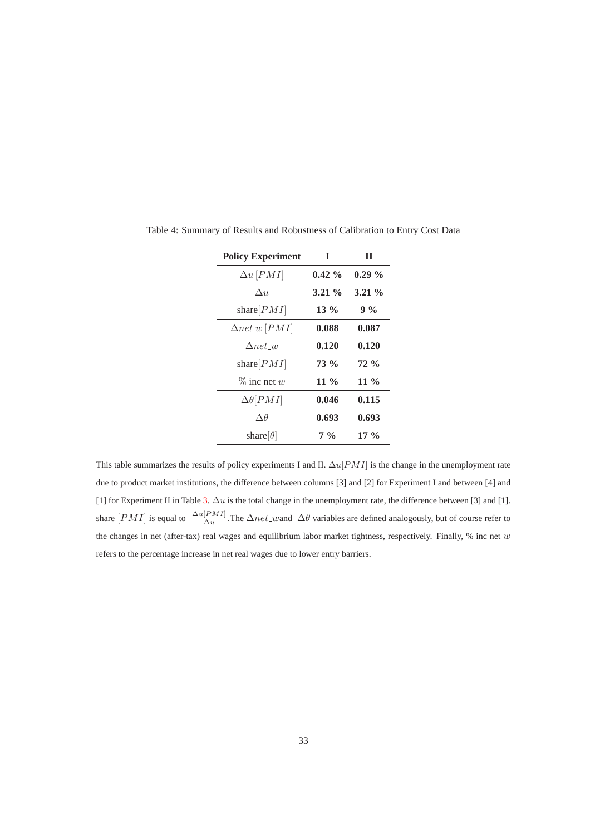| <b>Policy Experiment</b>   | I        | П        |
|----------------------------|----------|----------|
| $\Delta u$ [PMI]           | $0.42\%$ | $0.29\%$ |
| $\Delta u$                 | $3.21\%$ | $3.21\%$ |
| share $[PMI]$              | $13\%$   | $9\%$    |
| $\Delta net \, w \,  PMI $ | 0.088    | 0.087    |
| $\Delta$ net w             | 0.120    | 0.120    |
| share $ PMI $              | $73\%$   | $72\%$   |
| $\%$ inc net w             | 11 $\%$  | 11 $\%$  |
| $\Delta\theta[PMI]$        | 0.046    | 0.115    |
| $\Delta\theta$             | 0.693    | 0.693    |
| share $ \theta $           | $7\%$    | $17\%$   |

Table 4: Summary of Results and Robustness of Calibration to Entry Cost Data

This table summarizes the results of policy experiments I and II.  $\Delta u[PMI]$  is the change in the unemployment rate due to product market institutions, the difference between columns [3] and [2] for Experiment I and between [4] and [1] for Experiment II in Table [3.](#page-33-0)  $\Delta u$  is the total change in the unemployment rate, the difference between [3] and [1]. share  $[PMI]$  is equal to  $\frac{\Delta u[PMI]}{\Delta u}$ . The  $\Delta net\_wand \Delta \theta$  variables are defined analogously, but of course refer to the changes in net (after-tax) real wages and equilibrium labor market tightness, respectively. Finally, % inc net  $w$ refers to the percentage increase in net real wages due to lower entry barriers.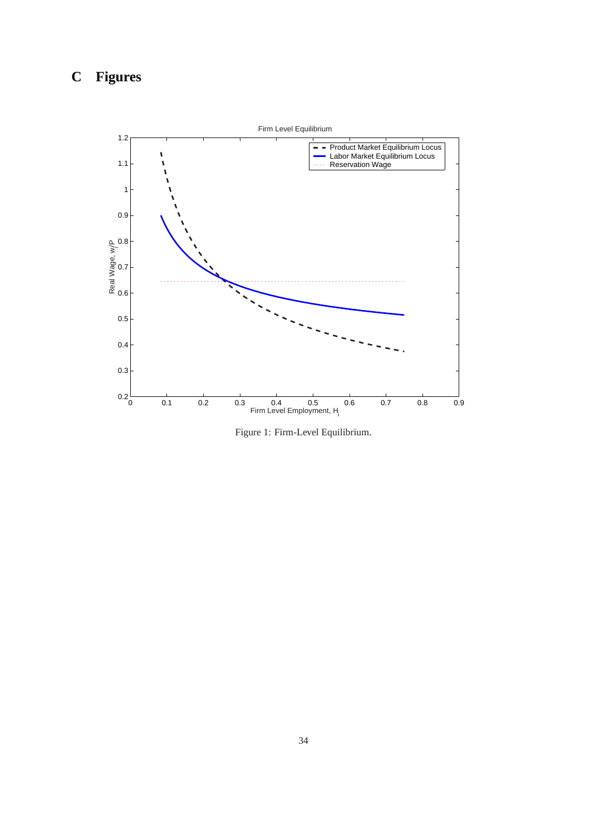# <span id="page-35-0"></span>**C Figures**



Figure 1: Firm-Level Equilibrium.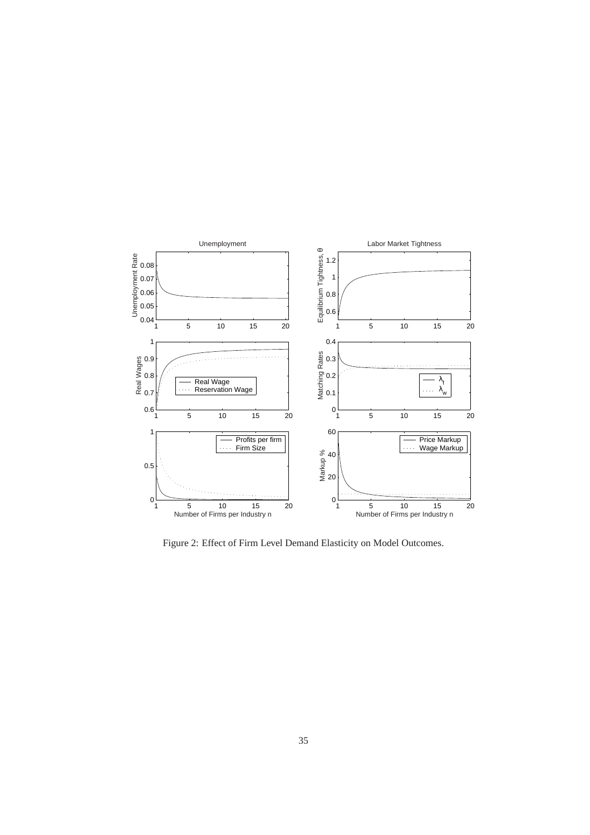<span id="page-36-0"></span>

Figure 2: Effect of Firm Level Demand Elasticity on Model Outcomes.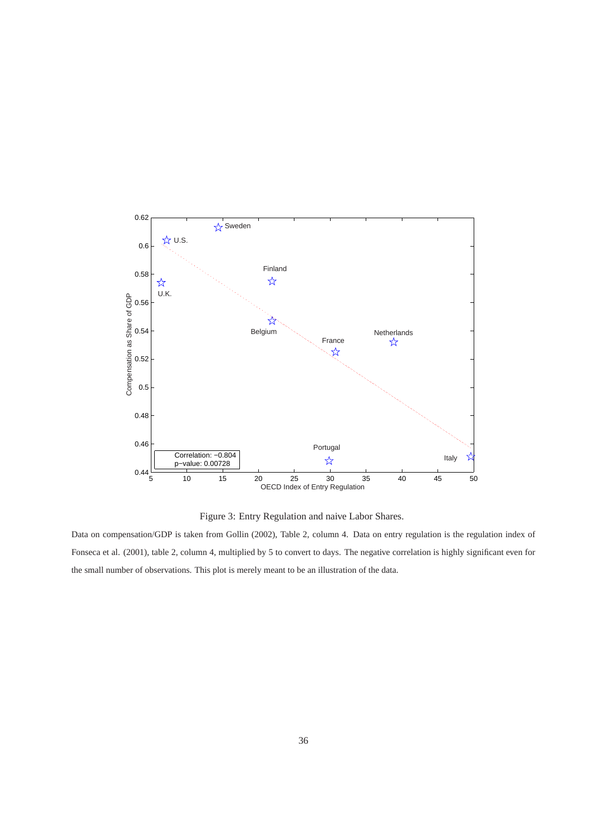<span id="page-37-0"></span>

Figure 3: Entry Regulation and naive Labor Shares.

Data on compensation/GDP is taken from Gollin (2002), Table 2, column 4. Data on entry regulation is the regulation index of Fonseca et al. (2001), table 2, column 4, multiplied by 5 to convert to days. The negative correlation is highly significant even for the small number of observations. This plot is merely meant to be an illustration of the data.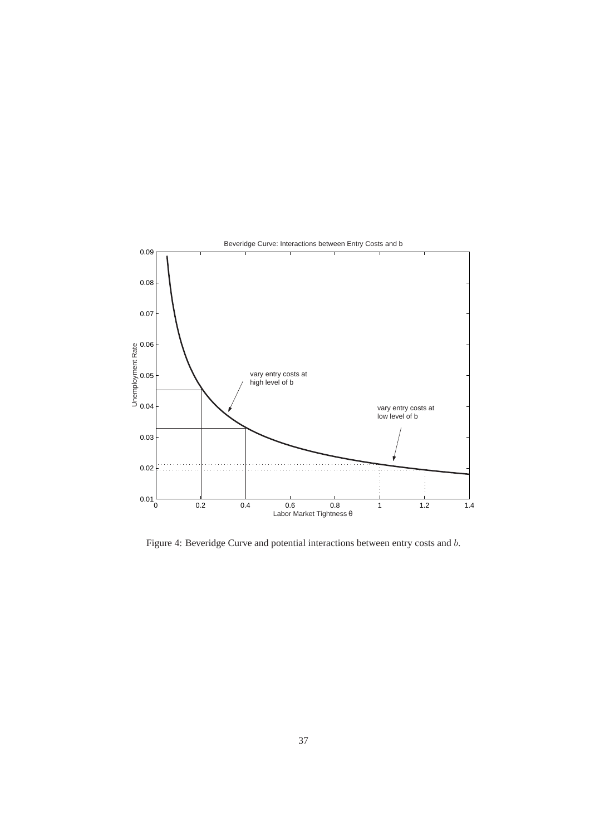<span id="page-38-0"></span>

Figure 4: Beveridge Curve and potential interactions between entry costs and b.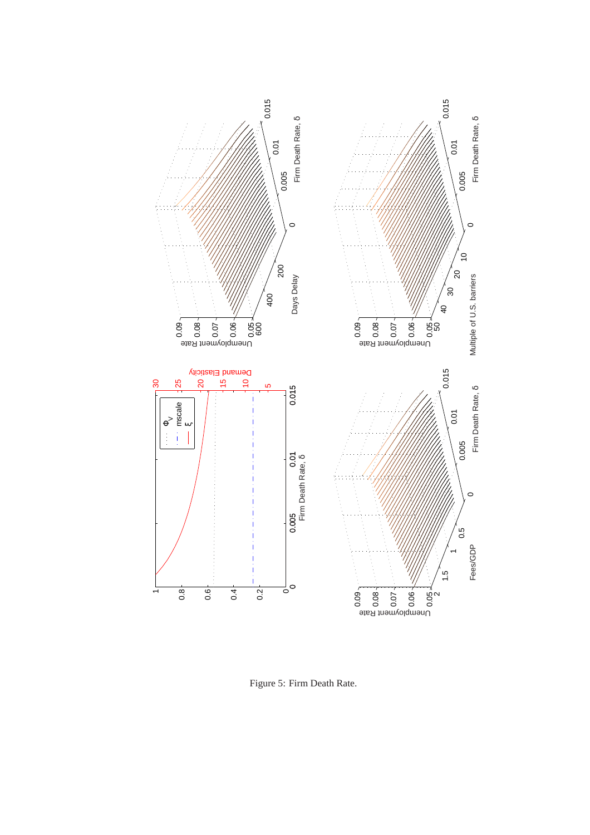<span id="page-39-0"></span>

Figure 5: Firm Death Rate.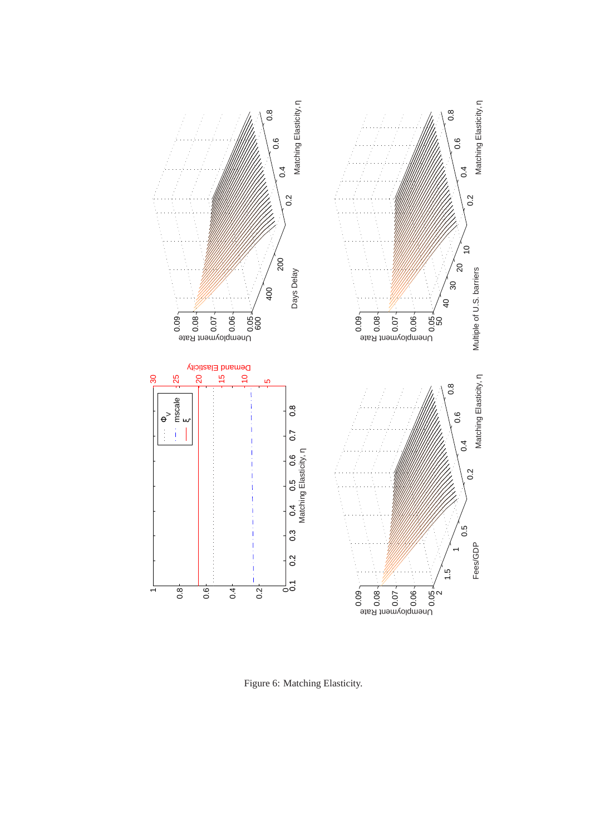<span id="page-40-0"></span>

Figure 6: Matching Elasticity.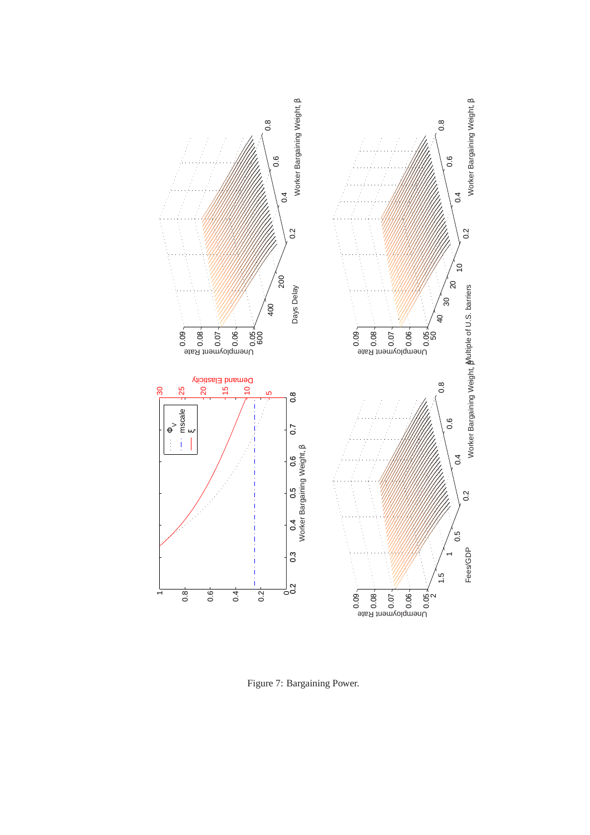<span id="page-41-0"></span>

Figure 7: Bargaining Power.